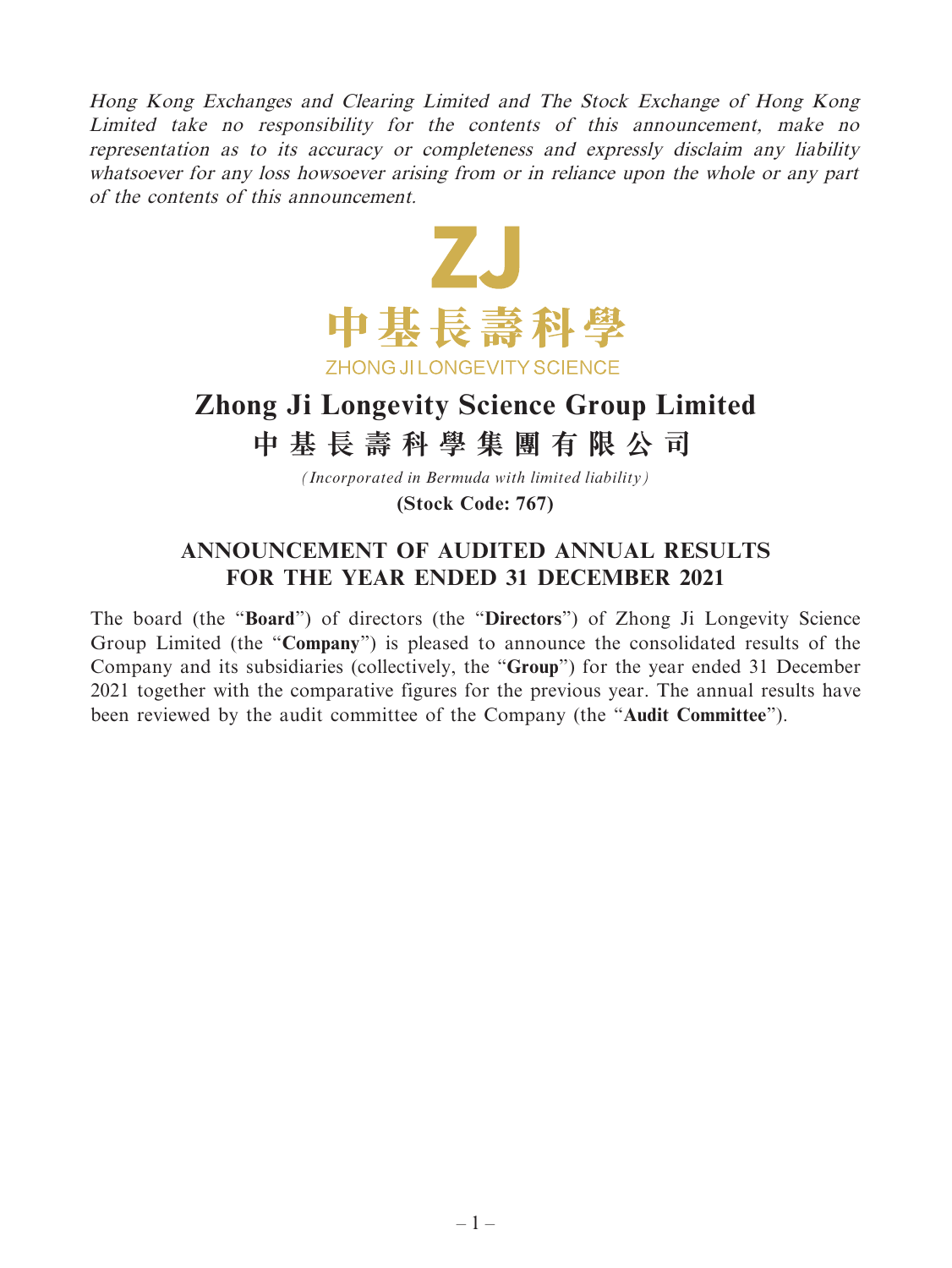Hong Kong Exchanges and Clearing Limited and The Stock Exchange of Hong Kong Limited take no responsibility for the contents of this announcement, make no representation as to its accuracy or completeness and expressly disclaim any liability whatsoever for any loss howsoever arising from or in reliance upon the whole or any part of the contents of this announcement.



# **Zhong Ji Longevity Science Group Limited 中基長壽科學集團有限公司**

*(Incorporated in Bermuda with limited liability)*

**(Stock Code: 767)**

# **ANNOUNCEMENT OF AUDITED ANNUAL RESULTS FOR THE YEAR ENDED 31 DECEMBER 2021**

The board (the "**Board**") of directors (the "**Directors**") of Zhong Ji Longevity Science Group Limited (the "**Company**") is pleased to announce the consolidated results of the Company and its subsidiaries (collectively, the "**Group**") for the year ended 31 December 2021 together with the comparative figures for the previous year. The annual results have been reviewed by the audit committee of the Company (the "**Audit Committee**").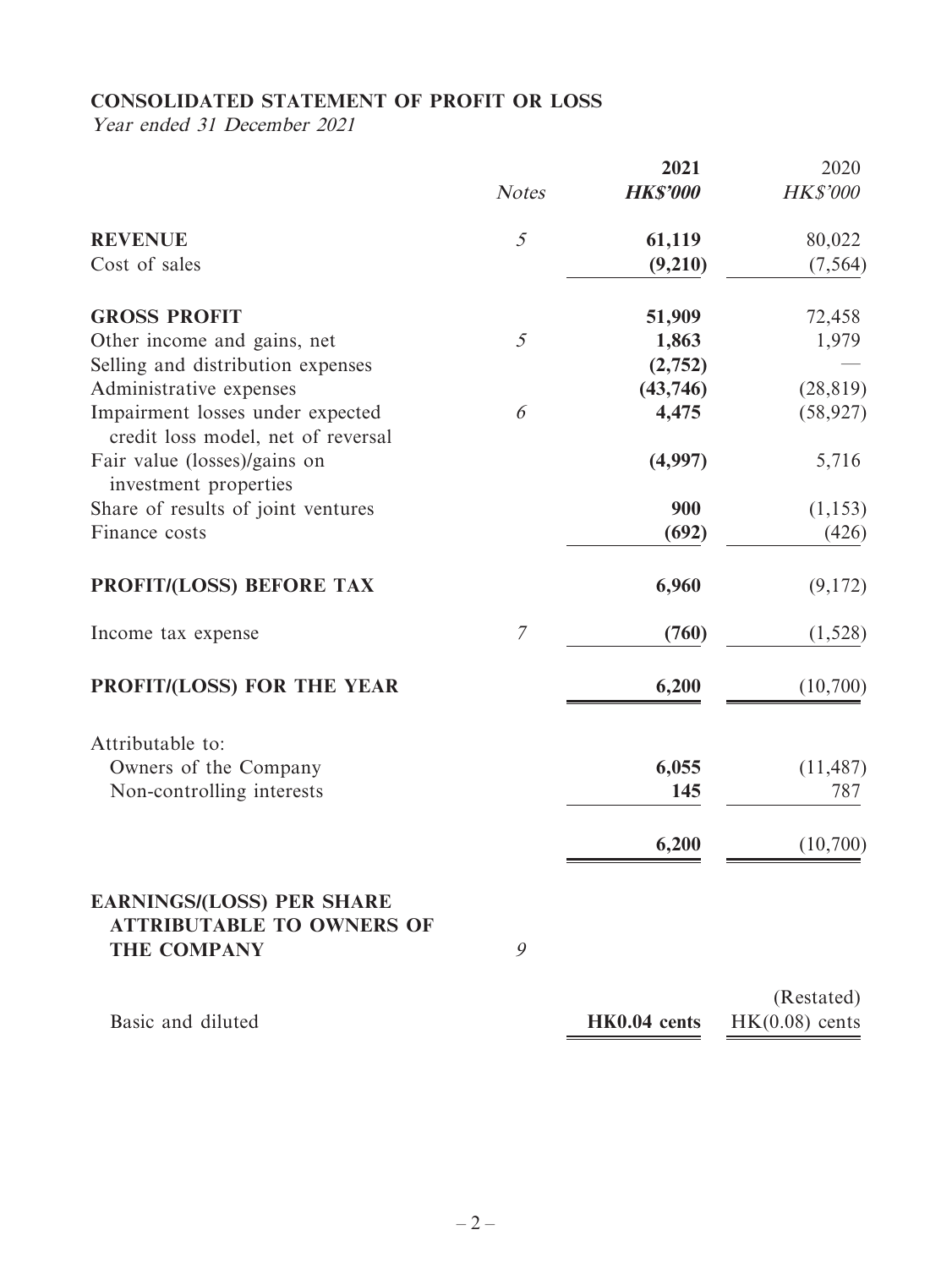# **CONSOLIDATED STATEMENT OF PROFIT OR LOSS**

Year ended 31 December 2021

|                                                                                            |               | 2021            | 2020                           |
|--------------------------------------------------------------------------------------------|---------------|-----------------|--------------------------------|
|                                                                                            | <b>Notes</b>  | <b>HK\$'000</b> | <b>HK\$'000</b>                |
| <b>REVENUE</b>                                                                             | $\mathcal{S}$ | 61,119          | 80,022                         |
| Cost of sales                                                                              |               | (9,210)         | (7, 564)                       |
| <b>GROSS PROFIT</b>                                                                        |               | 51,909          | 72,458                         |
| Other income and gains, net                                                                | 5             | 1,863           | 1,979                          |
| Selling and distribution expenses                                                          |               | (2,752)         |                                |
| Administrative expenses                                                                    |               | (43,746)        | (28, 819)                      |
| Impairment losses under expected<br>credit loss model, net of reversal                     | 6             | 4,475           | (58, 927)                      |
| Fair value (losses)/gains on<br>investment properties                                      |               | (4,997)         | 5,716                          |
| Share of results of joint ventures                                                         |               | 900             | (1, 153)                       |
| Finance costs                                                                              |               | (692)           | (426)                          |
| PROFIT/(LOSS) BEFORE TAX                                                                   |               | 6,960           | (9,172)                        |
| Income tax expense                                                                         | 7             | (760)           | (1,528)                        |
| <b>PROFIT/(LOSS) FOR THE YEAR</b>                                                          |               | 6,200           | (10,700)                       |
| Attributable to:                                                                           |               |                 |                                |
| Owners of the Company                                                                      |               | 6,055           | (11, 487)                      |
| Non-controlling interests                                                                  |               | 145             | 787                            |
|                                                                                            |               | 6,200           | (10,700)                       |
| <b>EARNINGS/(LOSS) PER SHARE</b><br><b>ATTRIBUTABLE TO OWNERS OF</b><br><b>THE COMPANY</b> | 9             |                 |                                |
| Basic and diluted                                                                          |               | HK0.04 cents    | (Restated)<br>$HK(0.08)$ cents |
|                                                                                            |               |                 |                                |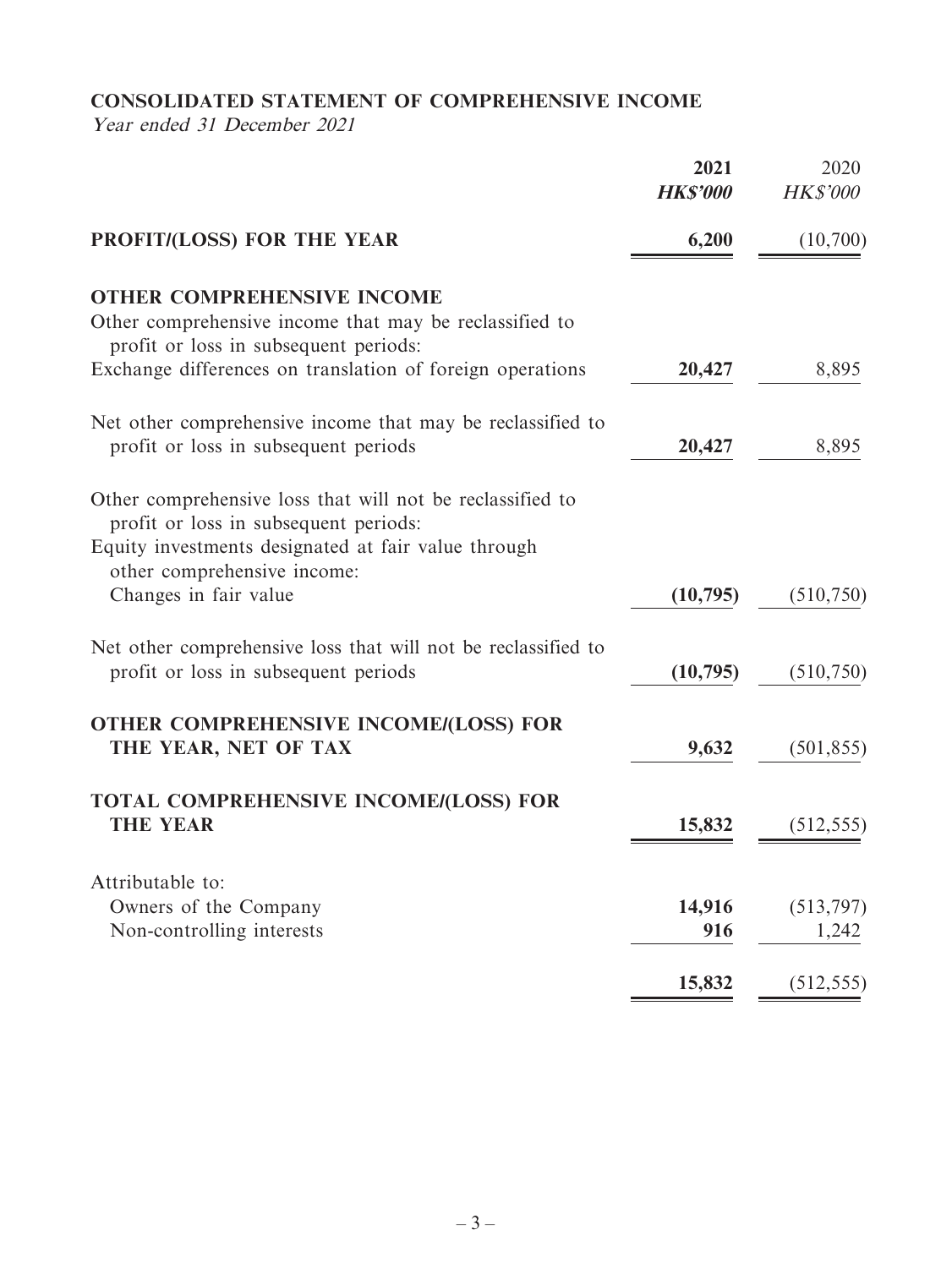# **CONSOLIDATED STATEMENT OF COMPREHENSIVE INCOME**

Year ended 31 December 2021

| (10,700)            |
|---------------------|
|                     |
| 8,895               |
| 8,895               |
|                     |
| (510, 750)          |
| (510, 750)          |
| (501, 855)          |
| (512, 555)          |
| (513, 797)          |
| 1,242<br>(512, 555) |
|                     |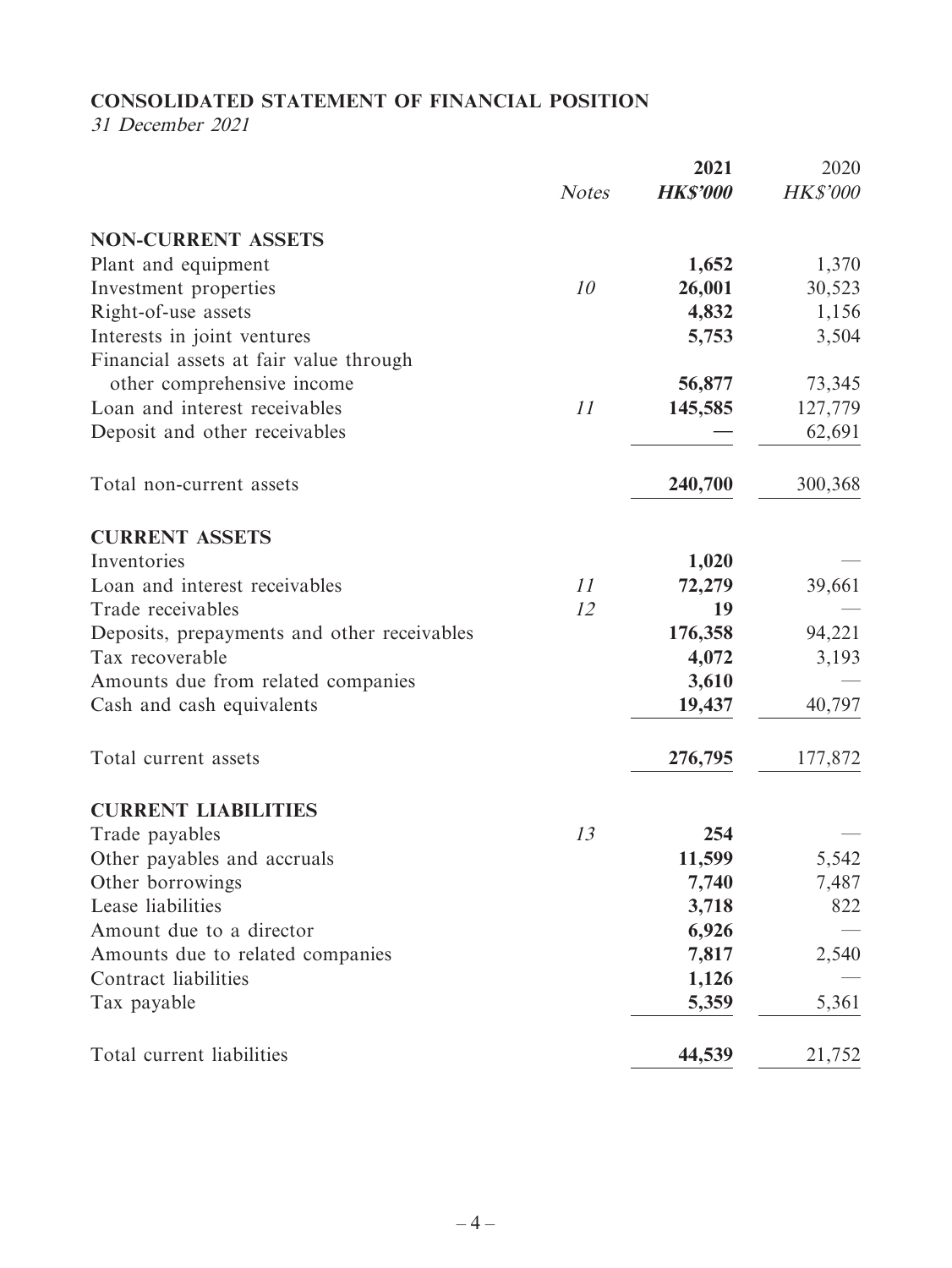# **CONSOLIDATED STATEMENT OF FINANCIAL POSITION**

31 December 2021

|                                             |              | 2021            | 2020            |
|---------------------------------------------|--------------|-----------------|-----------------|
|                                             | <b>Notes</b> | <b>HK\$'000</b> | <b>HK\$'000</b> |
| <b>NON-CURRENT ASSETS</b>                   |              |                 |                 |
| Plant and equipment                         |              | 1,652           | 1,370           |
| Investment properties                       | 10           | 26,001          | 30,523          |
| Right-of-use assets                         |              | 4,832           | 1,156           |
| Interests in joint ventures                 |              | 5,753           | 3,504           |
| Financial assets at fair value through      |              |                 |                 |
| other comprehensive income                  |              | 56,877          | 73,345          |
| Loan and interest receivables               | 11           | 145,585         | 127,779         |
| Deposit and other receivables               |              |                 | 62,691          |
| Total non-current assets                    |              | 240,700         | 300,368         |
| <b>CURRENT ASSETS</b>                       |              |                 |                 |
| Inventories                                 |              | 1,020           |                 |
| Loan and interest receivables               | 11           | 72,279          | 39,661          |
| Trade receivables                           | 12           | 19              |                 |
| Deposits, prepayments and other receivables |              | 176,358         | 94,221          |
| Tax recoverable                             |              | 4,072           | 3,193           |
| Amounts due from related companies          |              | 3,610           |                 |
| Cash and cash equivalents                   |              | 19,437          | 40,797          |
| Total current assets                        |              | 276,795         | 177,872         |
| <b>CURRENT LIABILITIES</b>                  |              |                 |                 |
| Trade payables                              | 13           | 254             |                 |
| Other payables and accruals                 |              | 11,599          | 5,542           |
| Other borrowings                            |              | 7,740           | 7,487           |
| Lease liabilities                           |              | 3,718           | 822             |
| Amount due to a director                    |              | 6,926           |                 |
| Amounts due to related companies            |              | 7,817           | 2,540           |
| Contract liabilities                        |              | 1,126           |                 |
| Tax payable                                 |              | 5,359           | 5,361           |
| Total current liabilities                   |              | 44,539          | 21,752          |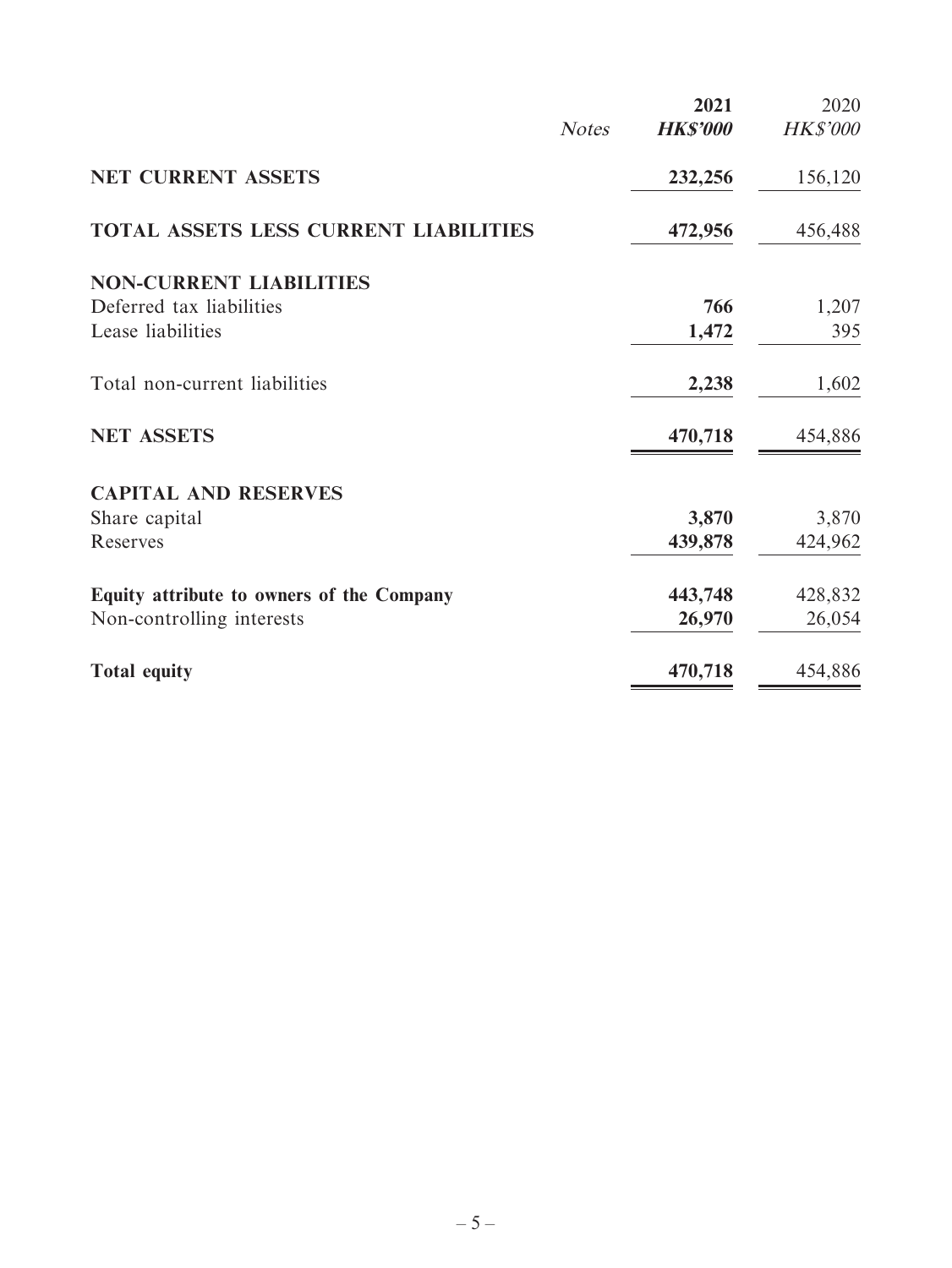|                                           |              | 2021            | 2020            |
|-------------------------------------------|--------------|-----------------|-----------------|
|                                           | <b>Notes</b> | <b>HK\$'000</b> | <b>HK\$'000</b> |
| <b>NET CURRENT ASSETS</b>                 |              | 232,256         | 156,120         |
| TOTAL ASSETS LESS CURRENT LIABILITIES     |              | 472,956         | 456,488         |
| <b>NON-CURRENT LIABILITIES</b>            |              |                 |                 |
| Deferred tax liabilities                  |              | 766             | 1,207           |
| Lease liabilities                         |              | 1,472           | 395             |
| Total non-current liabilities             |              | 2,238           | 1,602           |
| <b>NET ASSETS</b>                         |              | 470,718         | 454,886         |
| <b>CAPITAL AND RESERVES</b>               |              |                 |                 |
| Share capital                             |              | 3,870           | 3,870           |
| Reserves                                  |              | 439,878         | 424,962         |
| Equity attribute to owners of the Company |              | 443,748         | 428,832         |
| Non-controlling interests                 |              | 26,970          | 26,054          |
| <b>Total equity</b>                       |              | 470,718         | 454,886         |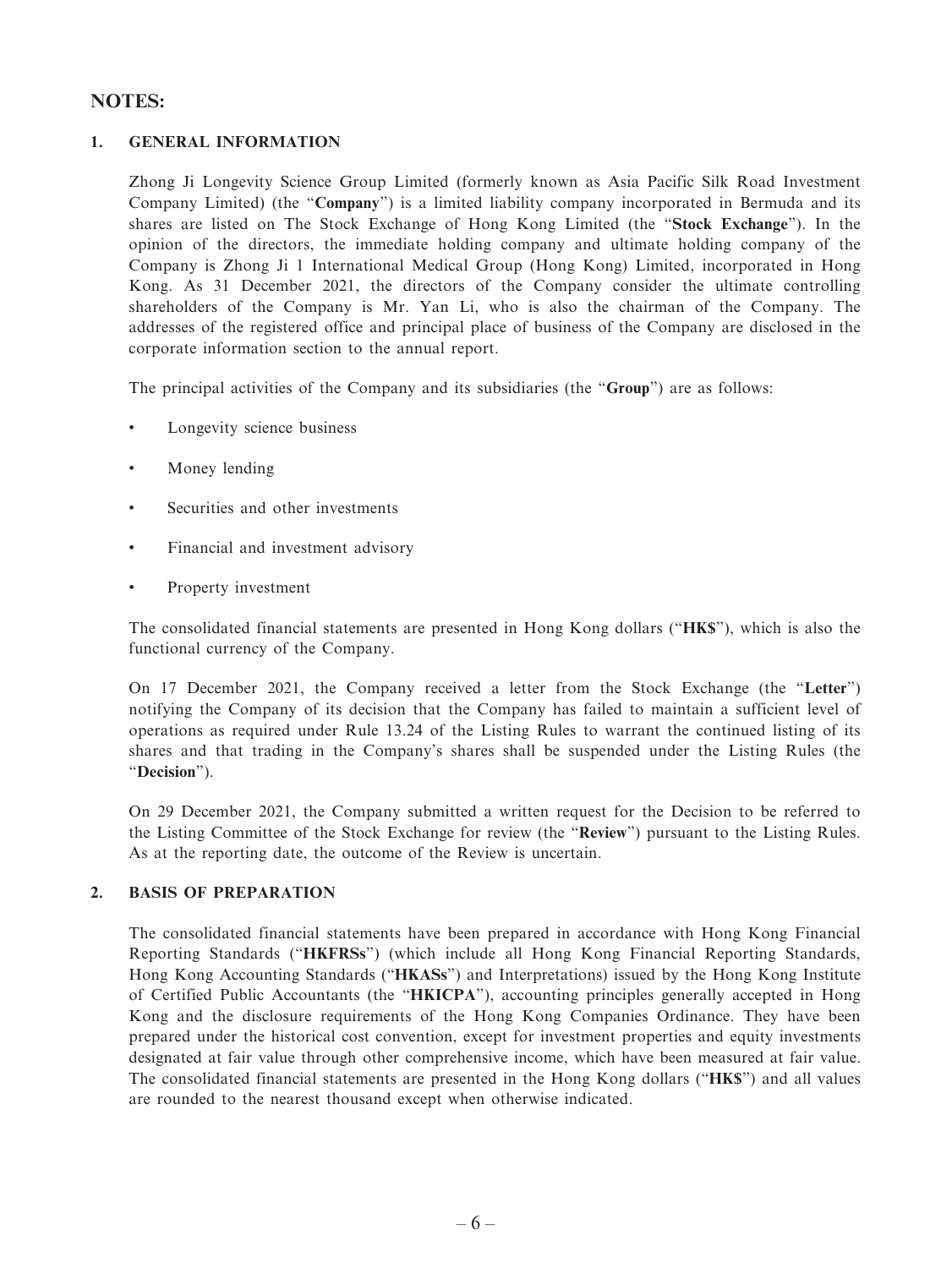### **NOTES:**

#### **1. GENERAL INFORMATION**

Zhong Ji Longevity Science Group Limited (formerly known as Asia Pacific Silk Road Investment Company Limited) (the "**Company**") is a limited liability company incorporated in Bermuda and its shares are listed on The Stock Exchange of Hong Kong Limited (the "**Stock Exchange**"). In the opinion of the directors, the immediate holding company and ultimate holding company of the Company is Zhong Ji 1 International Medical Group (Hong Kong) Limited, incorporated in Hong Kong. As 31 December 2021, the directors of the Company consider the ultimate controlling shareholders of the Company is Mr. Yan Li, who is also the chairman of the Company. The addresses of the registered office and principal place of business of the Company are disclosed in the corporate information section to the annual report.

The principal activities of the Company and its subsidiaries (the "**Group**") are as follows:

- Longevity science business
- Money lending
- Securities and other investments
- Financial and investment advisory
- Property investment

The consolidated financial statements are presented in Hong Kong dollars ("**HK\$**"), which is also the functional currency of the Company.

On 17 December 2021, the Company received a letter from the Stock Exchange (the "**Letter**") notifying the Company of its decision that the Company has failed to maintain a sufficient level of operations as required under Rule 13.24 of the Listing Rules to warrant the continued listing of its shares and that trading in the Company's shares shall be suspended under the Listing Rules (the "**Decision**").

On 29 December 2021, the Company submitted a written request for the Decision to be referred to the Listing Committee of the Stock Exchange for review (the "**Review**") pursuant to the Listing Rules. As at the reporting date, the outcome of the Review is uncertain.

#### **2. BASIS OF PREPARATION**

The consolidated financial statements have been prepared in accordance with Hong Kong Financial Reporting Standards ("**HKFRSs**") (which include all Hong Kong Financial Reporting Standards, Hong Kong Accounting Standards ("**HKASs**") and Interpretations) issued by the Hong Kong Institute of Certified Public Accountants (the "**HKICPA**"), accounting principles generally accepted in Hong Kong and the disclosure requirements of the Hong Kong Companies Ordinance. They have been prepared under the historical cost convention, except for investment properties and equity investments designated at fair value through other comprehensive income, which have been measured at fair value. The consolidated financial statements are presented in the Hong Kong dollars ("**HK\$**") and all values are rounded to the nearest thousand except when otherwise indicated.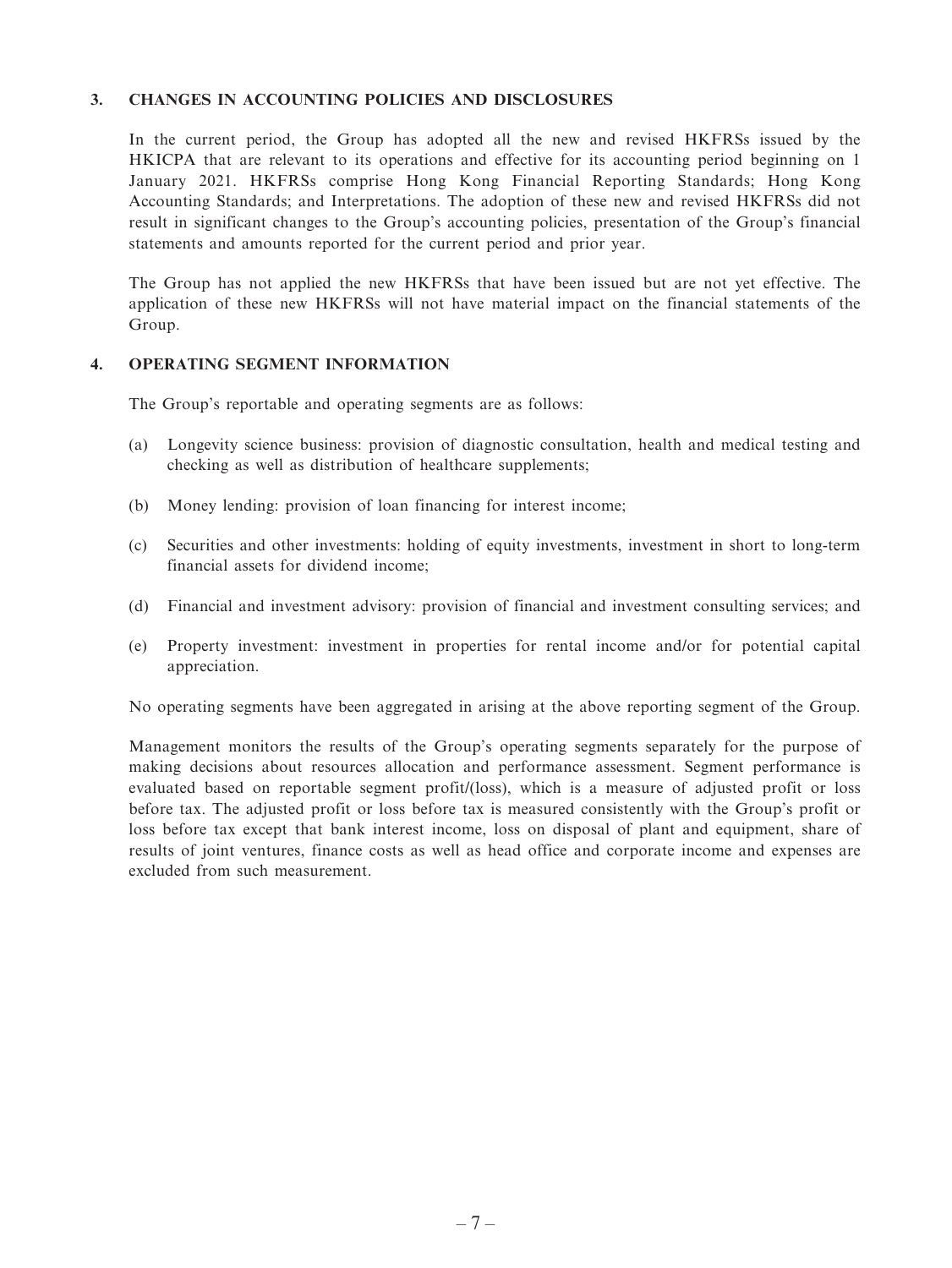#### **3. CHANGES IN ACCOUNTING POLICIES AND DISCLOSURES**

In the current period, the Group has adopted all the new and revised HKFRSs issued by the HKICPA that are relevant to its operations and effective for its accounting period beginning on 1 January 2021. HKFRSs comprise Hong Kong Financial Reporting Standards; Hong Kong Accounting Standards; and Interpretations. The adoption of these new and revised HKFRSs did not result in significant changes to the Group's accounting policies, presentation of the Group's financial statements and amounts reported for the current period and prior year.

The Group has not applied the new HKFRSs that have been issued but are not yet effective. The application of these new HKFRSs will not have material impact on the financial statements of the Group.

#### **4. OPERATING SEGMENT INFORMATION**

The Group's reportable and operating segments are as follows:

- (a) Longevity science business: provision of diagnostic consultation, health and medical testing and checking as well as distribution of healthcare supplements;
- (b) Money lending: provision of loan financing for interest income;
- (c) Securities and other investments: holding of equity investments, investment in short to long-term financial assets for dividend income;
- (d) Financial and investment advisory: provision of financial and investment consulting services; and
- (e) Property investment: investment in properties for rental income and/or for potential capital appreciation.

No operating segments have been aggregated in arising at the above reporting segment of the Group.

Management monitors the results of the Group's operating segments separately for the purpose of making decisions about resources allocation and performance assessment. Segment performance is evaluated based on reportable segment profit/(loss), which is a measure of adjusted profit or loss before tax. The adjusted profit or loss before tax is measured consistently with the Group's profit or loss before tax except that bank interest income, loss on disposal of plant and equipment, share of results of joint ventures, finance costs as well as head office and corporate income and expenses are excluded from such measurement.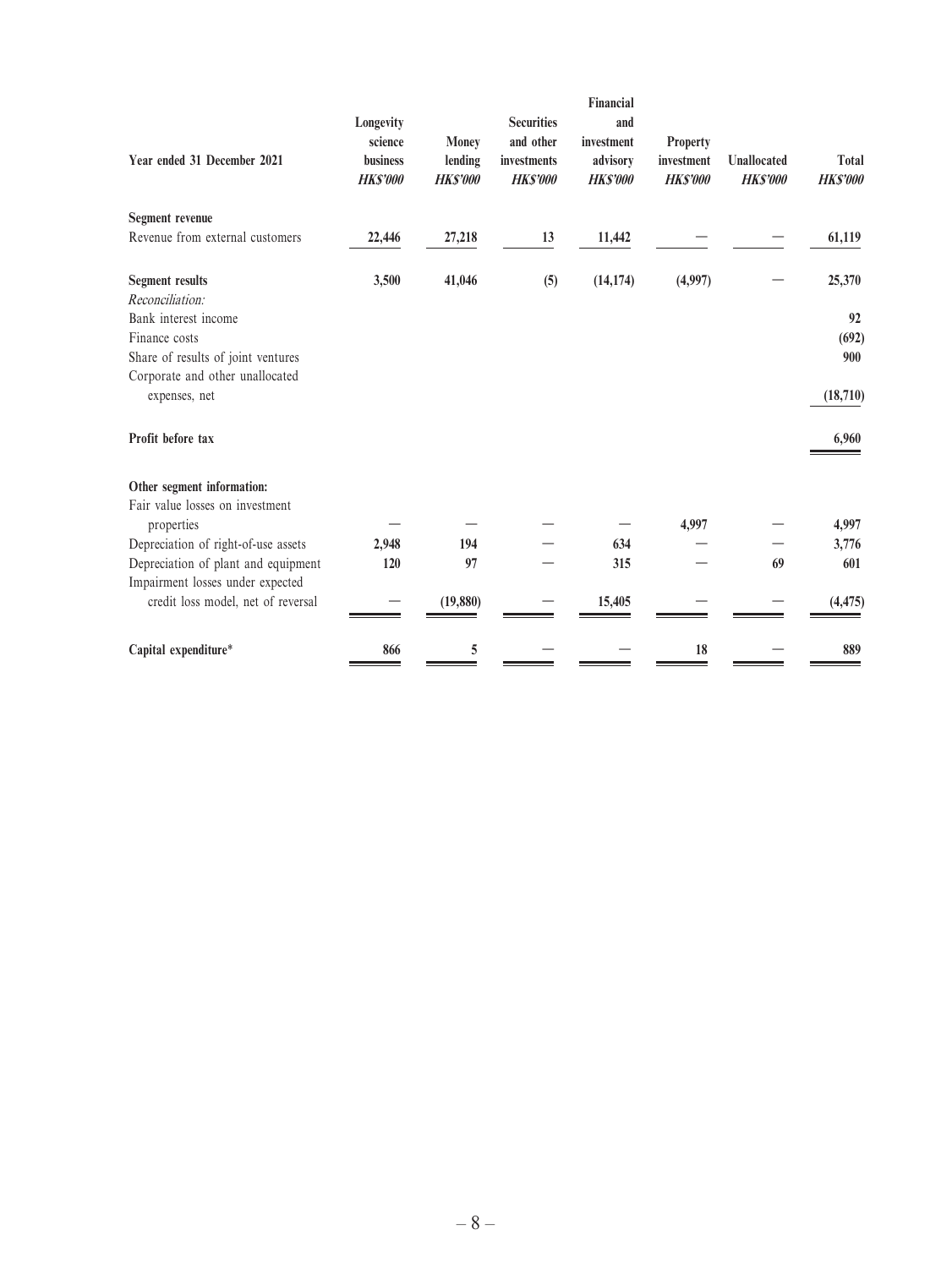| Year ended 31 December 2021                      | Longevity<br>science<br>business<br><b>HK\$'000</b> | <b>Money</b><br>lending<br><b>HK\$'000</b> | <b>Securities</b><br>and other<br>investments<br><b>HK\$'000</b> | Financial<br>and<br>investment<br>advisory<br><b>HKS'000</b> | <b>Property</b><br>investment<br><b>HK\$'000</b> | <b>Unallocated</b><br><b>HK\$'000</b> | Total<br><b>HK\$'000</b> |
|--------------------------------------------------|-----------------------------------------------------|--------------------------------------------|------------------------------------------------------------------|--------------------------------------------------------------|--------------------------------------------------|---------------------------------------|--------------------------|
| <b>Segment revenue</b>                           |                                                     |                                            |                                                                  |                                                              |                                                  |                                       |                          |
| Revenue from external customers                  | 22,446                                              | 27,218                                     | 13                                                               | 11,442                                                       |                                                  |                                       | 61,119                   |
| <b>Segment results</b><br>Reconciliation:        | 3,500                                               | 41,046                                     | (5)                                                              | (14, 174)                                                    | (4,997)                                          |                                       | 25,370                   |
| Bank interest income                             |                                                     |                                            |                                                                  |                                                              |                                                  |                                       | 92                       |
| Finance costs                                    |                                                     |                                            |                                                                  |                                                              |                                                  |                                       | (692)                    |
| Share of results of joint ventures               |                                                     |                                            |                                                                  |                                                              |                                                  |                                       | 900                      |
| Corporate and other unallocated<br>expenses, net |                                                     |                                            |                                                                  |                                                              |                                                  |                                       | (18, 710)                |
|                                                  |                                                     |                                            |                                                                  |                                                              |                                                  |                                       |                          |
| Profit before tax                                |                                                     |                                            |                                                                  |                                                              |                                                  |                                       | 6,960                    |
| Other segment information:                       |                                                     |                                            |                                                                  |                                                              |                                                  |                                       |                          |
| Fair value losses on investment<br>properties    |                                                     |                                            |                                                                  |                                                              | 4,997                                            |                                       | 4,997                    |
| Depreciation of right-of-use assets              | 2,948                                               | 194                                        |                                                                  | 634                                                          |                                                  |                                       | 3,776                    |
| Depreciation of plant and equipment              | 120                                                 | 97                                         |                                                                  | 315                                                          |                                                  | 69                                    | 601                      |
| Impairment losses under expected                 |                                                     |                                            |                                                                  |                                                              |                                                  |                                       |                          |
| credit loss model, net of reversal               |                                                     | (19, 880)                                  |                                                                  | 15,405                                                       |                                                  |                                       | (4, 475)                 |
| Capital expenditure*                             | 866                                                 | 5                                          |                                                                  |                                                              | 18                                               |                                       | 889                      |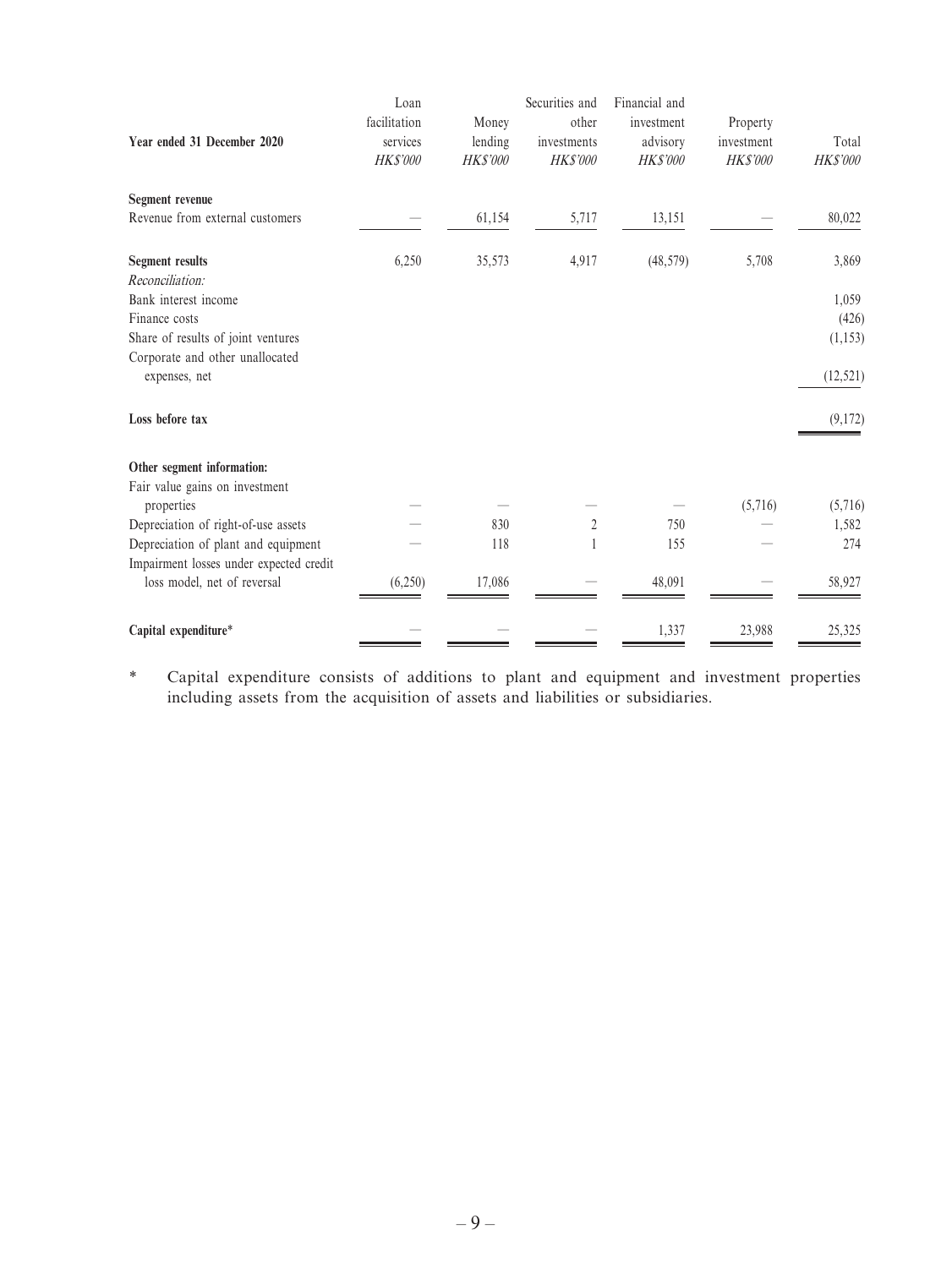| Year ended 31 December 2020             | Loan<br>facilitation<br>services<br><b>HK\$'000</b> | Money<br>lending<br><b>HK\$'000</b> | Securities and<br>other<br>investments<br><b>HK\$'000</b> | Financial and<br>investment<br>advisory<br><b>HK\$'000</b> | Property<br>investment<br><b>HK\$'000</b> | Total<br><b>HK\$'000</b> |
|-----------------------------------------|-----------------------------------------------------|-------------------------------------|-----------------------------------------------------------|------------------------------------------------------------|-------------------------------------------|--------------------------|
|                                         |                                                     |                                     |                                                           |                                                            |                                           |                          |
| Segment revenue                         |                                                     |                                     |                                                           |                                                            |                                           |                          |
| Revenue from external customers         |                                                     | 61,154                              | 5,717                                                     | 13,151                                                     |                                           | 80,022                   |
| <b>Segment results</b>                  | 6,250                                               | 35,573                              | 4,917                                                     | (48, 579)                                                  | 5,708                                     | 3,869                    |
| Reconciliation:                         |                                                     |                                     |                                                           |                                                            |                                           |                          |
| Bank interest income                    |                                                     |                                     |                                                           |                                                            |                                           | 1,059                    |
| Finance costs                           |                                                     |                                     |                                                           |                                                            |                                           | (426)                    |
| Share of results of joint ventures      |                                                     |                                     |                                                           |                                                            |                                           | (1, 153)                 |
| Corporate and other unallocated         |                                                     |                                     |                                                           |                                                            |                                           |                          |
| expenses, net                           |                                                     |                                     |                                                           |                                                            |                                           | (12, 521)                |
| Loss before tax                         |                                                     |                                     |                                                           |                                                            |                                           | (9,172)                  |
| Other segment information:              |                                                     |                                     |                                                           |                                                            |                                           |                          |
| Fair value gains on investment          |                                                     |                                     |                                                           |                                                            |                                           |                          |
| properties                              |                                                     |                                     |                                                           |                                                            | (5,716)                                   | (5,716)                  |
| Depreciation of right-of-use assets     |                                                     | 830                                 | $\sqrt{2}$                                                | 750                                                        |                                           | 1,582                    |
| Depreciation of plant and equipment     |                                                     | 118                                 |                                                           | 155                                                        |                                           | 274                      |
| Impairment losses under expected credit |                                                     |                                     |                                                           |                                                            |                                           |                          |
| loss model, net of reversal             | (6,250)                                             | 17,086                              |                                                           | 48,091                                                     |                                           | 58,927                   |
| Capital expenditure*                    |                                                     |                                     |                                                           | 1,337                                                      | 23,988                                    | 25,325                   |

\* Capital expenditure consists of additions to plant and equipment and investment properties including assets from the acquisition of assets and liabilities or subsidiaries.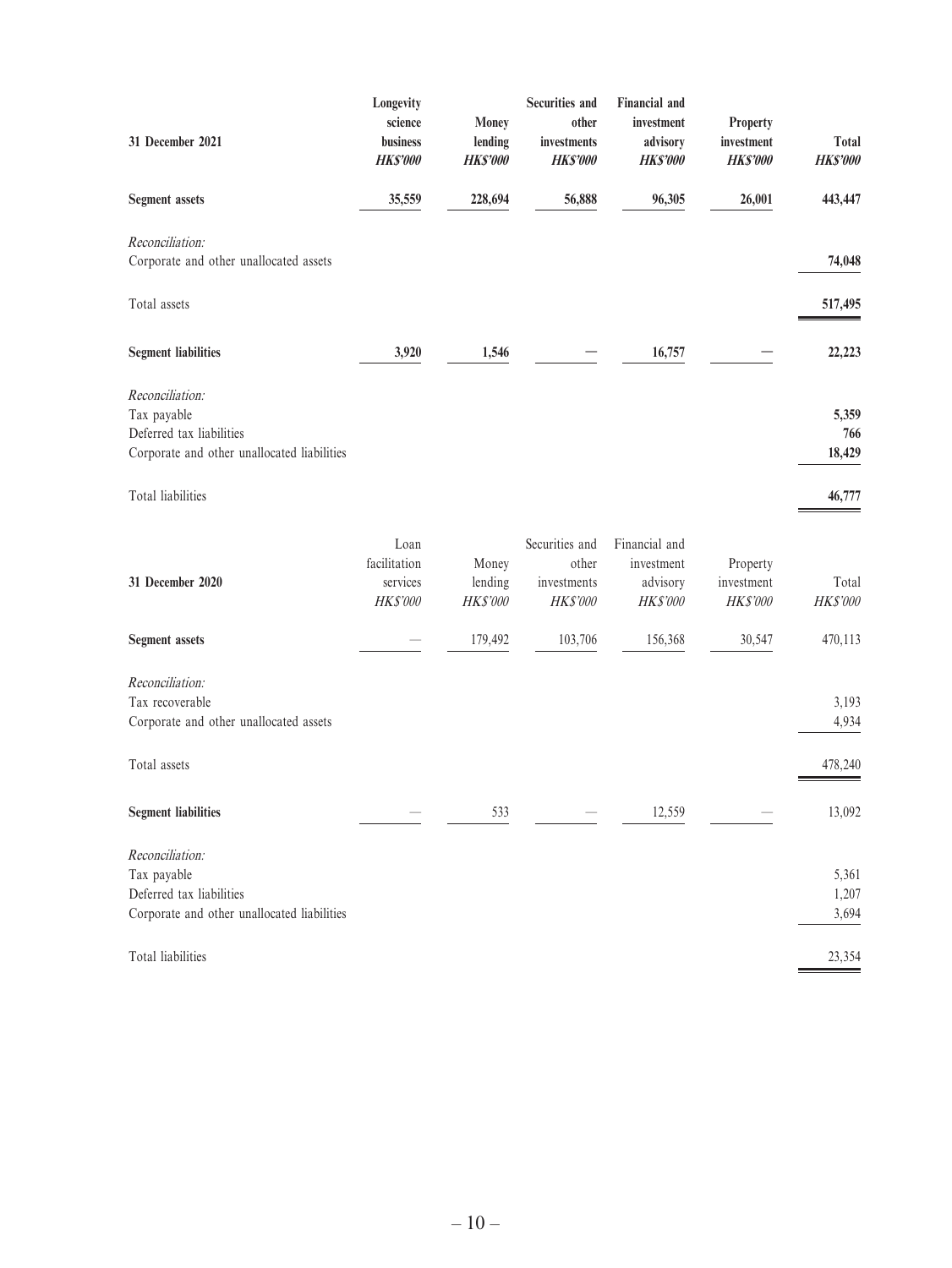| 31 December 2021                                                                                          | Longevity<br>science<br>business<br><b>HK\$'000</b> | Money<br>lending<br><b>HK\$'000</b> | <b>Securities and</b><br>other<br>investments<br><b>HK\$'000</b> | <b>Financial</b> and<br>investment<br>advisory<br><b>HKS'000</b> | Property<br>investment<br><b>HK\$'000</b> | Total<br><b>HK\$'000</b> |
|-----------------------------------------------------------------------------------------------------------|-----------------------------------------------------|-------------------------------------|------------------------------------------------------------------|------------------------------------------------------------------|-------------------------------------------|--------------------------|
| <b>Segment</b> assets                                                                                     | 35,559                                              | 228,694                             | 56,888                                                           | 96,305                                                           | 26,001                                    | 443,447                  |
| Reconciliation:<br>Corporate and other unallocated assets                                                 |                                                     |                                     |                                                                  |                                                                  |                                           | 74,048                   |
| Total assets                                                                                              |                                                     |                                     |                                                                  |                                                                  |                                           | 517,495                  |
| <b>Segment liabilities</b>                                                                                | 3,920                                               | 1,546                               |                                                                  | 16,757                                                           |                                           | 22,223                   |
| Reconciliation:<br>Tax payable<br>Deferred tax liabilities<br>Corporate and other unallocated liabilities |                                                     |                                     |                                                                  |                                                                  |                                           | 5,359<br>766<br>18,429   |
| Total liabilities                                                                                         |                                                     |                                     |                                                                  |                                                                  |                                           | 46,777                   |
| 31 December 2020                                                                                          | Loan<br>facilitation<br>services<br>HK\$'000        | Money<br>lending<br>HK\$'000        | Securities and<br>other<br>investments<br><b>HK\$'000</b>        | Financial and<br>investment<br>advisory<br><b>HK\$'000</b>       | Property<br>investment<br>HK\$'000        | Total<br>HK\$'000        |
| <b>Segment</b> assets                                                                                     |                                                     | 179,492                             | 103,706                                                          | 156,368                                                          | 30,547                                    | 470,113                  |
| Reconciliation:<br>Tax recoverable<br>Corporate and other unallocated assets                              |                                                     |                                     |                                                                  |                                                                  |                                           | 3,193<br>4,934           |
| Total assets                                                                                              |                                                     |                                     |                                                                  |                                                                  |                                           | 478,240                  |
| <b>Segment liabilities</b>                                                                                |                                                     | 533                                 |                                                                  | 12,559                                                           |                                           | 13,092                   |
| Reconciliation:<br>Tax payable<br>Deferred tax liabilities<br>Corporate and other unallocated liabilities |                                                     |                                     |                                                                  |                                                                  |                                           | 5,361<br>1,207<br>3,694  |
| Total liabilities                                                                                         |                                                     |                                     |                                                                  |                                                                  |                                           | 23,354                   |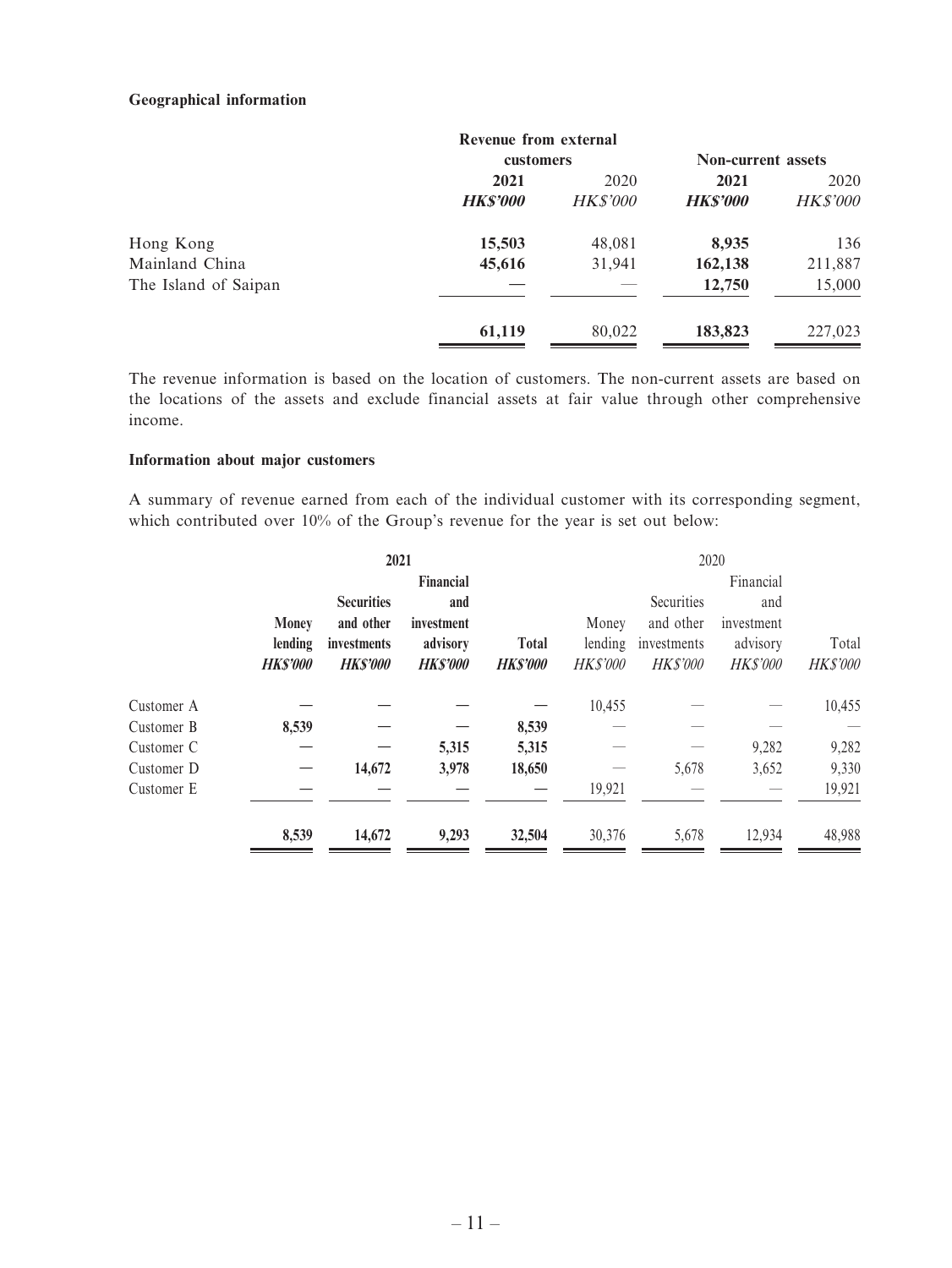#### **Geographical information**

|                      | Revenue from external |                 |                           |                 |
|----------------------|-----------------------|-----------------|---------------------------|-----------------|
|                      | customers             |                 | <b>Non-current assets</b> |                 |
|                      | 2021<br>2020          |                 | 2021                      | 2020            |
|                      | <b>HK\$'000</b>       | <b>HK\$'000</b> | <b>HK\$'000</b>           | <b>HK\$'000</b> |
| Hong Kong            | 15,503                | 48,081          | 8,935                     | 136             |
| Mainland China       | 45,616                | 31,941          | 162,138                   | 211,887         |
| The Island of Saipan |                       |                 | 12,750                    | 15,000          |
|                      | 61,119                | 80,022          | 183,823                   | 227,023         |

The revenue information is based on the location of customers. The non-current assets are based on the locations of the assets and exclude financial assets at fair value through other comprehensive income.

#### **Information about major customers**

A summary of revenue earned from each of the individual customer with its corresponding segment, which contributed over 10% of the Group's revenue for the year is set out below:

|            |                | 2021              |                |                |                 |                 | 2020            |                 |
|------------|----------------|-------------------|----------------|----------------|-----------------|-----------------|-----------------|-----------------|
|            |                |                   | Financial      |                |                 |                 | Financial       |                 |
|            |                | <b>Securities</b> | and            |                |                 | Securities      | and             |                 |
|            | <b>Money</b>   | and other         | investment     |                | Money           | and other       | investment      |                 |
|            | lending        | investments       | advisory       | <b>Total</b>   | lending         | investments     | advisory        | Total           |
|            | <b>HKS'000</b> | <b>HKS'000</b>    | <b>HKS'000</b> | <b>HKS'000</b> | <b>HK\$'000</b> | <b>HK\$'000</b> | <b>HK\$'000</b> | <b>HK\$'000</b> |
| Customer A |                |                   |                |                | 10,455          |                 |                 | 10,455          |
| Customer B | 8,539          |                   |                | 8,539          |                 |                 |                 |                 |
| Customer C |                |                   | 5,315          | 5,315          |                 |                 | 9,282           | 9,282           |
| Customer D |                | 14,672            | 3,978          | 18,650         |                 | 5,678           | 3,652           | 9,330           |
| Customer E |                |                   |                |                | 19,921          |                 |                 | 19,921          |
|            | 8,539          | 14,672            | 9,293          | 32,504         | 30,376          | 5,678           | 12,934          | 48,988          |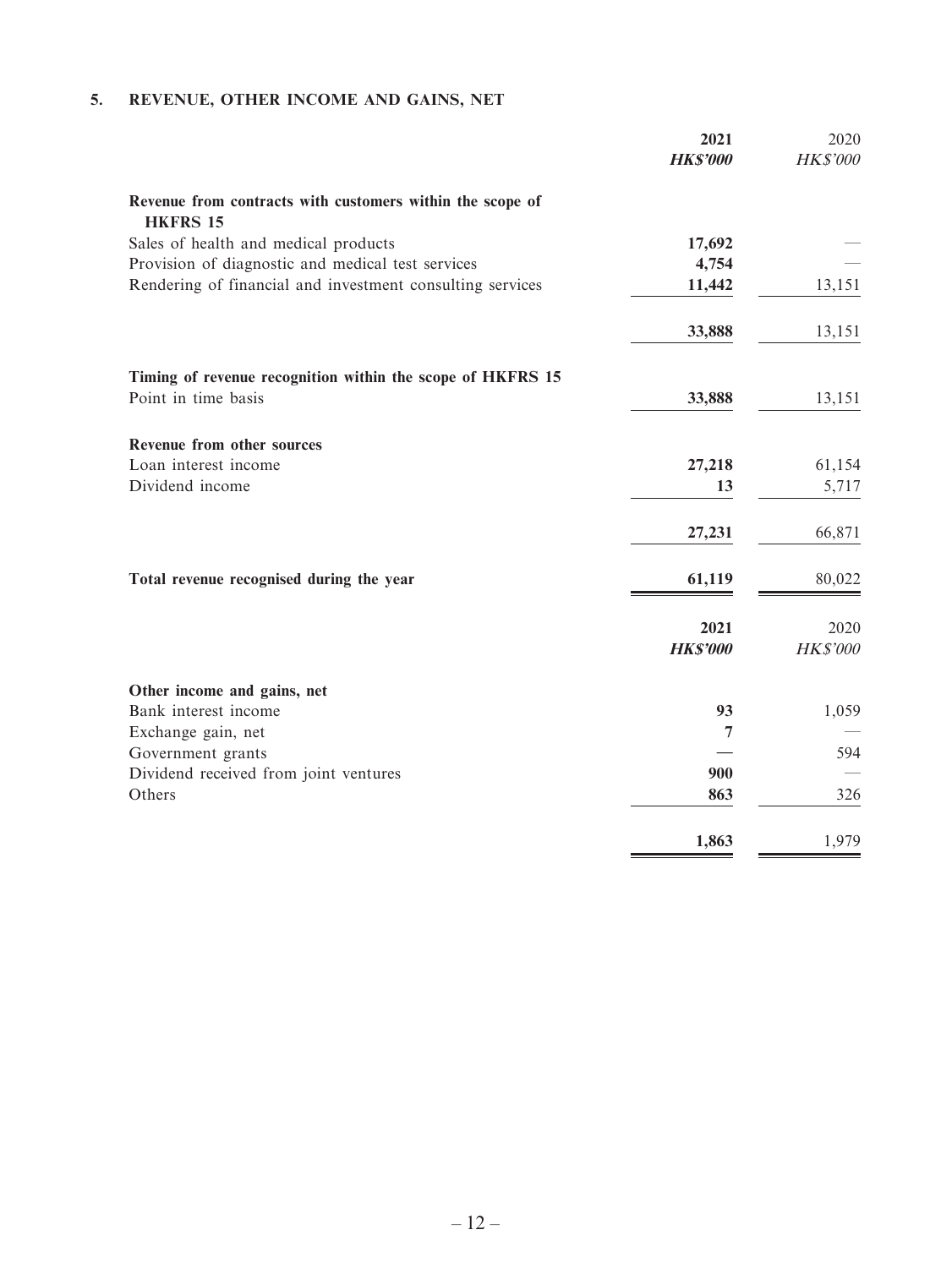# **5. REVENUE, OTHER INCOME AND GAINS, NET**

|                                                                              | 2021<br><b>HK\$'000</b> | 2020<br><b>HK\$'000</b> |
|------------------------------------------------------------------------------|-------------------------|-------------------------|
| Revenue from contracts with customers within the scope of<br><b>HKFRS 15</b> |                         |                         |
| Sales of health and medical products                                         | 17,692                  |                         |
| Provision of diagnostic and medical test services                            | 4,754                   |                         |
| Rendering of financial and investment consulting services                    | 11,442                  | 13,151                  |
|                                                                              | 33,888                  | 13,151                  |
| Timing of revenue recognition within the scope of HKFRS 15                   |                         |                         |
| Point in time basis                                                          | 33,888                  | 13,151                  |
| Revenue from other sources                                                   |                         |                         |
| Loan interest income                                                         | 27,218                  | 61,154                  |
| Dividend income                                                              | 13                      | 5,717                   |
|                                                                              | 27,231                  | 66,871                  |
| Total revenue recognised during the year                                     | 61,119                  | 80,022                  |
|                                                                              | 2021<br><b>HK\$'000</b> | 2020<br><b>HK\$'000</b> |
| Other income and gains, net                                                  |                         |                         |
| Bank interest income                                                         | 93                      | 1,059                   |
| Exchange gain, net                                                           | $\overline{7}$          |                         |
| Government grants                                                            |                         | 594                     |
| Dividend received from joint ventures                                        | 900                     |                         |
| Others                                                                       | 863                     | 326                     |
|                                                                              | 1,863                   | 1,979                   |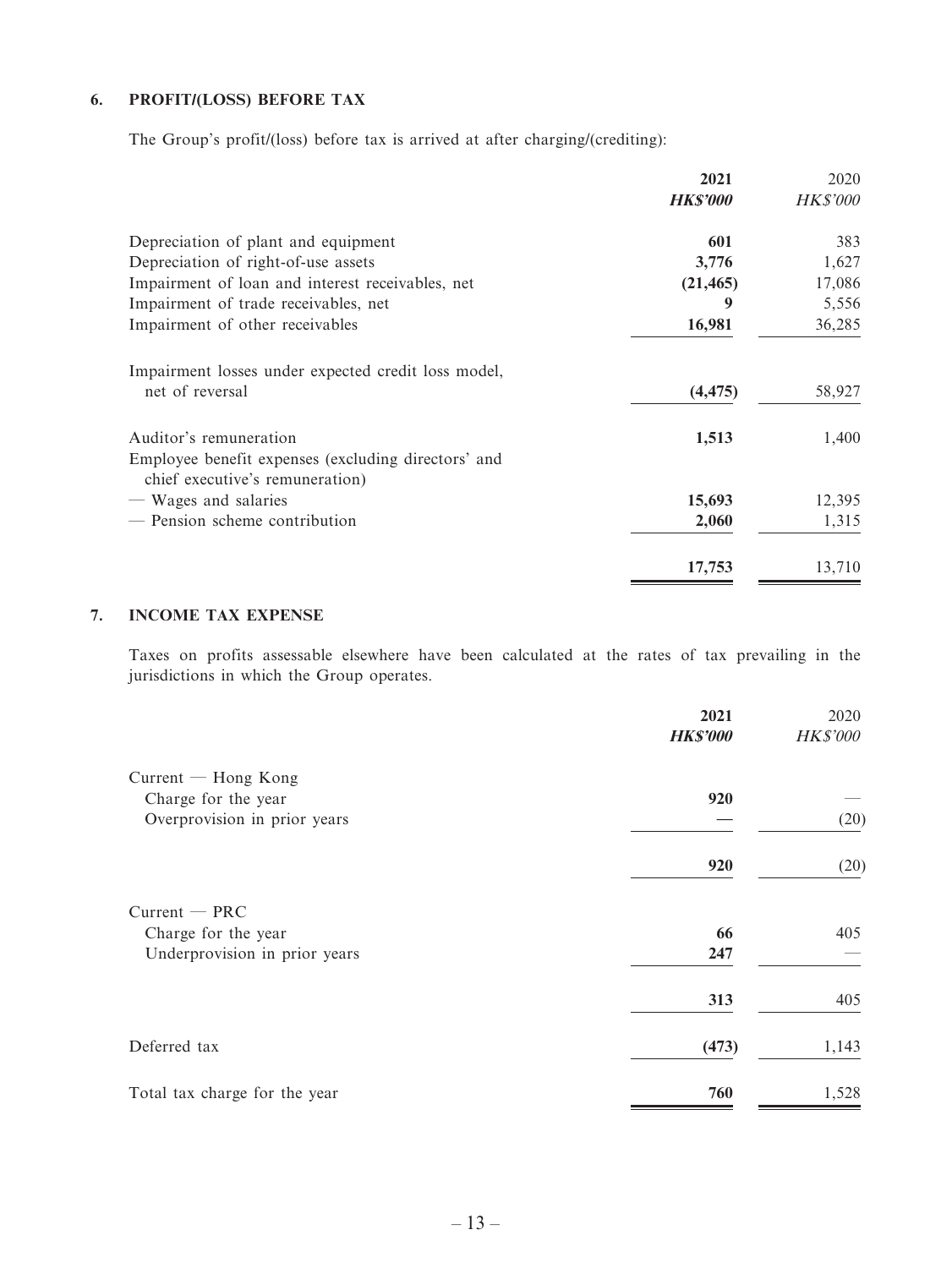### **6. PROFIT/(LOSS) BEFORE TAX**

The Group's profit/(loss) before tax is arrived at after charging/(crediting):

|                                                                               | 2021<br><b>HKS'000</b> | 2020<br><b>HK\$'000</b> |
|-------------------------------------------------------------------------------|------------------------|-------------------------|
| Depreciation of plant and equipment                                           | 601                    | 383                     |
| Depreciation of right-of-use assets                                           | 3,776                  | 1,627                   |
| Impairment of loan and interest receivables, net                              | (21, 465)              | 17,086                  |
| Impairment of trade receivables, net                                          | 9                      | 5,556                   |
| Impairment of other receivables                                               | 16,981                 | 36,285                  |
| Impairment losses under expected credit loss model,                           |                        |                         |
| net of reversal                                                               | (4, 475)               | 58,927                  |
| Auditor's remuneration<br>Employee benefit expenses (excluding directors' and | 1,513                  | 1,400                   |
| chief executive's remuneration)                                               |                        |                         |
| — Wages and salaries                                                          | 15,693                 | 12,395                  |
| - Pension scheme contribution                                                 | 2,060                  | 1,315                   |
|                                                                               | 17,753                 | 13,710                  |

#### **7. INCOME TAX EXPENSE**

Taxes on profits assessable elsewhere have been calculated at the rates of tax prevailing in the jurisdictions in which the Group operates.

|                               | 2021            | 2020            |
|-------------------------------|-----------------|-----------------|
|                               | <b>HK\$'000</b> | <b>HK\$'000</b> |
| $Current - Hong Kong$         |                 |                 |
| Charge for the year           | 920             |                 |
| Overprovision in prior years  |                 | (20)            |
|                               | 920             | (20)            |
| $Current - PRC$               |                 |                 |
| Charge for the year           | 66              | 405             |
| Underprovision in prior years | 247             |                 |
|                               | 313             | 405             |
| Deferred tax                  | (473)           | 1,143           |
| Total tax charge for the year | 760             | 1,528           |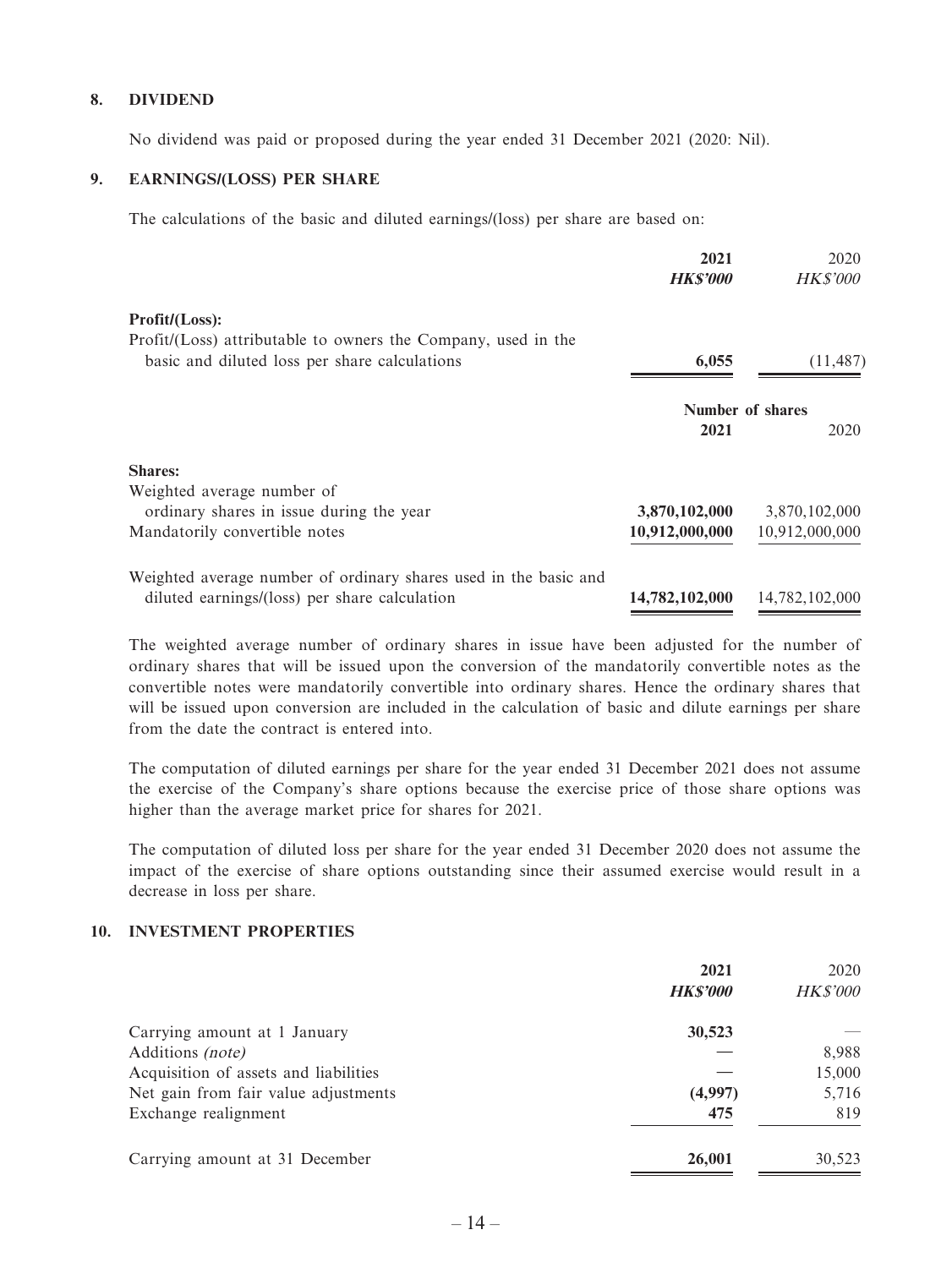#### **8. DIVIDEND**

No dividend was paid or proposed during the year ended 31 December 2021 (2020: Nil).

#### **9. EARNINGS/(LOSS) PER SHARE**

The calculations of the basic and diluted earnings/(loss) per share are based on:

|                                                                  | 2021<br><b>HKS'000</b> | 2020<br><i>HK\$'000</i> |
|------------------------------------------------------------------|------------------------|-------------------------|
| Profit/(Loss):                                                   |                        |                         |
| Profit/(Loss) attributable to owners the Company, used in the    |                        |                         |
| basic and diluted loss per share calculations                    | 6,055                  | (11, 487)               |
|                                                                  | Number of shares       |                         |
|                                                                  | 2021                   | 2020                    |
| <b>Shares:</b>                                                   |                        |                         |
| Weighted average number of                                       |                        |                         |
| ordinary shares in issue during the year                         | 3,870,102,000          | 3,870,102,000           |
| Mandatorily convertible notes                                    | 10,912,000,000         | 10,912,000,000          |
| Weighted average number of ordinary shares used in the basic and |                        |                         |
| diluted earnings/(loss) per share calculation                    | 14,782,102,000         | 14,782,102,000          |

The weighted average number of ordinary shares in issue have been adjusted for the number of ordinary shares that will be issued upon the conversion of the mandatorily convertible notes as the convertible notes were mandatorily convertible into ordinary shares. Hence the ordinary shares that will be issued upon conversion are included in the calculation of basic and dilute earnings per share from the date the contract is entered into.

The computation of diluted earnings per share for the year ended 31 December 2021 does not assume the exercise of the Company's share options because the exercise price of those share options was higher than the average market price for shares for 2021.

The computation of diluted loss per share for the year ended 31 December 2020 does not assume the impact of the exercise of share options outstanding since their assumed exercise would result in a decrease in loss per share.

#### **10. INVESTMENT PROPERTIES**

|                                       | 2021<br><b>HK\$'000</b> | 2020<br><b>HK\$'000</b> |
|---------------------------------------|-------------------------|-------------------------|
| Carrying amount at 1 January          | 30,523                  |                         |
| Additions (note)                      |                         | 8,988                   |
| Acquisition of assets and liabilities |                         | 15,000                  |
| Net gain from fair value adjustments  | (4,997)                 | 5,716                   |
| Exchange realignment                  | 475                     | 819                     |
| Carrying amount at 31 December        | 26,001                  | 30,523                  |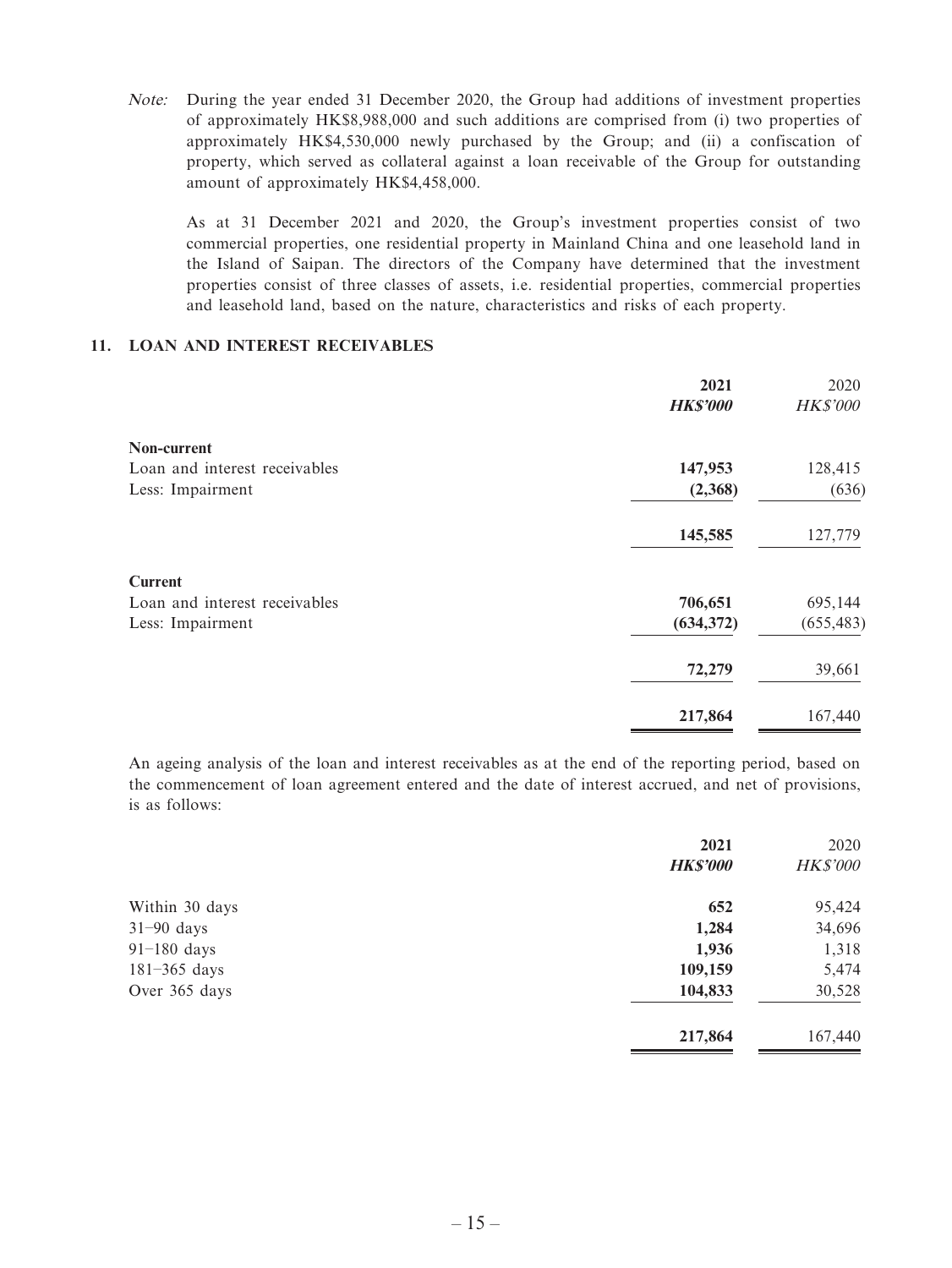Note: During the year ended 31 December 2020, the Group had additions of investment properties of approximately HK\$8,988,000 and such additions are comprised from (i) two properties of approximately HK\$4,530,000 newly purchased by the Group; and (ii) a confiscation of property, which served as collateral against a loan receivable of the Group for outstanding amount of approximately HK\$4,458,000.

As at 31 December 2021 and 2020, the Group's investment properties consist of two commercial properties, one residential property in Mainland China and one leasehold land in the Island of Saipan. The directors of the Company have determined that the investment properties consist of three classes of assets, i.e. residential properties, commercial properties and leasehold land, based on the nature, characteristics and risks of each property.

#### **11. LOAN AND INTEREST RECEIVABLES**

|                               | 2021<br><b>HK\$'000</b> | 2020<br><b>HK\$'000</b> |
|-------------------------------|-------------------------|-------------------------|
| Non-current                   |                         |                         |
| Loan and interest receivables | 147,953                 | 128,415                 |
| Less: Impairment              | (2,368)                 | (636)                   |
|                               | 145,585                 | 127,779                 |
| <b>Current</b>                |                         |                         |
| Loan and interest receivables | 706,651                 | 695,144                 |
| Less: Impairment              | (634, 372)              | (655, 483)              |
|                               | 72,279                  | 39,661                  |
|                               | 217,864                 | 167,440                 |

An ageing analysis of the loan and interest receivables as at the end of the reporting period, based on the commencement of loan agreement entered and the date of interest accrued, and net of provisions, is as follows:

|                  | 2021<br><b>HK\$'000</b> | 2020<br><b>HK\$'000</b> |
|------------------|-------------------------|-------------------------|
| Within 30 days   | 652                     | 95,424                  |
| $31-90$ days     | 1,284                   | 34,696                  |
| $91-180$ days    | 1,936                   | 1,318                   |
| $181 - 365$ days | 109,159                 | 5,474                   |
| Over 365 days    | 104,833                 | 30,528                  |
|                  | 217,864                 | 167,440                 |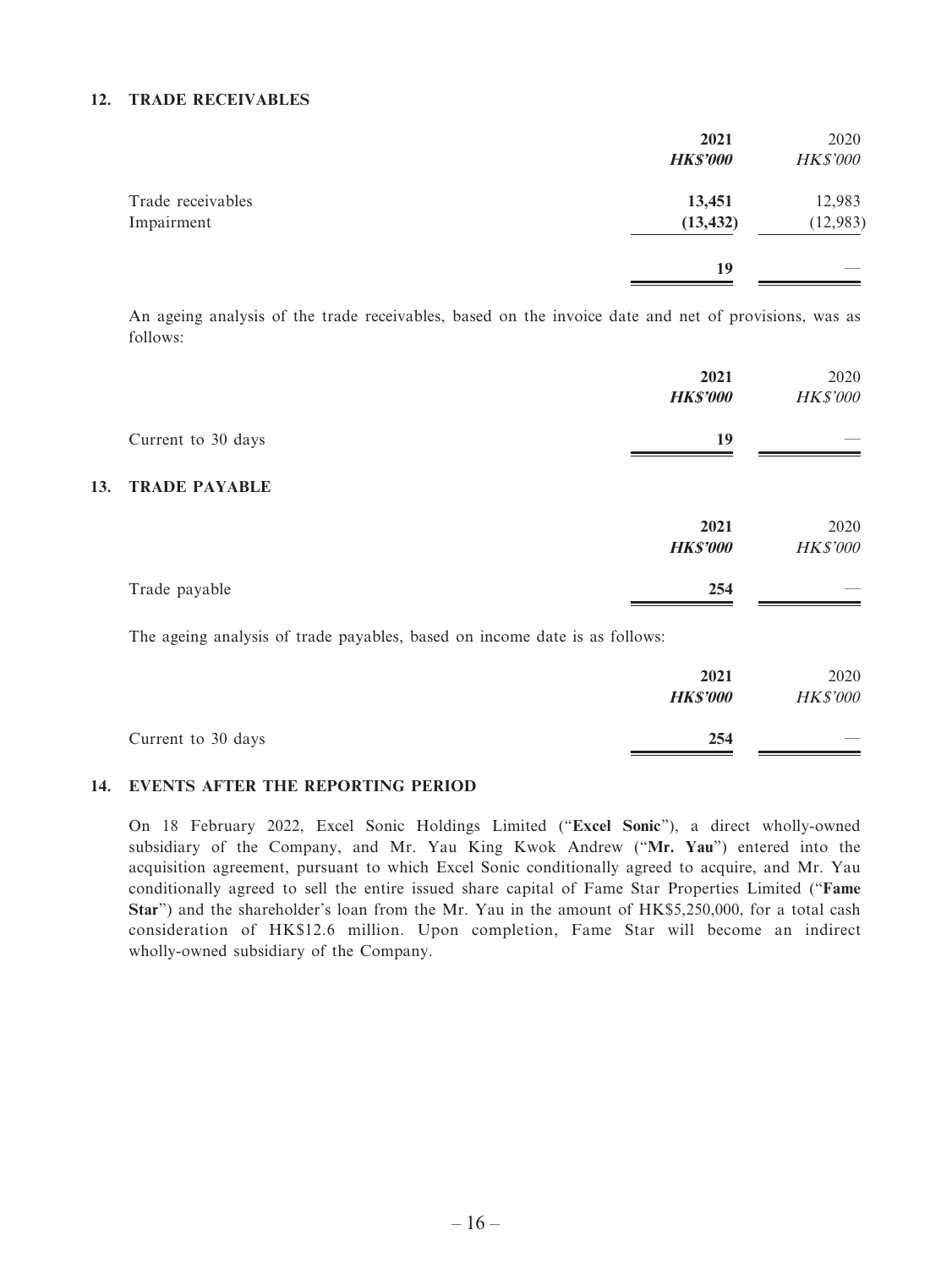#### **12. TRADE RECEIVABLES**

|                                 | 2021<br><b>HK\$'000</b> | 2020<br><b>HK\$'000</b> |
|---------------------------------|-------------------------|-------------------------|
| Trade receivables<br>Impairment | 13,451<br>(13, 432)     | 12,983<br>(12, 983)     |
|                                 | 19                      |                         |

An ageing analysis of the trade receivables, based on the invoice date and net of provisions, was as follows:

|     |                      | 2021<br><b>HK\$'000</b> | 2020<br><b>HK\$'000</b> |
|-----|----------------------|-------------------------|-------------------------|
|     | Current to 30 days   | 19                      |                         |
| 13. | <b>TRADE PAYABLE</b> |                         |                         |
|     |                      | 2021<br><b>HK\$'000</b> | 2020<br><b>HK\$'000</b> |
|     | Trade payable        | 254                     |                         |

The ageing analysis of trade payables, based on income date is as follows:

|                    | 2021<br><b>HK\$'000</b> | 2020<br><b>HK\$'000</b>  |
|--------------------|-------------------------|--------------------------|
| Current to 30 days | 254                     | $\overline{\phantom{a}}$ |

#### **14. EVENTS AFTER THE REPORTING PERIOD**

On 18 February 2022, Excel Sonic Holdings Limited ("**Excel Sonic**"), a direct wholly-owned subsidiary of the Company, and Mr. Yau King Kwok Andrew ("**Mr. Yau**") entered into the acquisition agreement, pursuant to which Excel Sonic conditionally agreed to acquire, and Mr. Yau conditionally agreed to sell the entire issued share capital of Fame Star Properties Limited ("**Fame Star**") and the shareholder's loan from the Mr. Yau in the amount of HK\$5,250,000, for a total cash consideration of HK\$12.6 million. Upon completion, Fame Star will become an indirect wholly-owned subsidiary of the Company.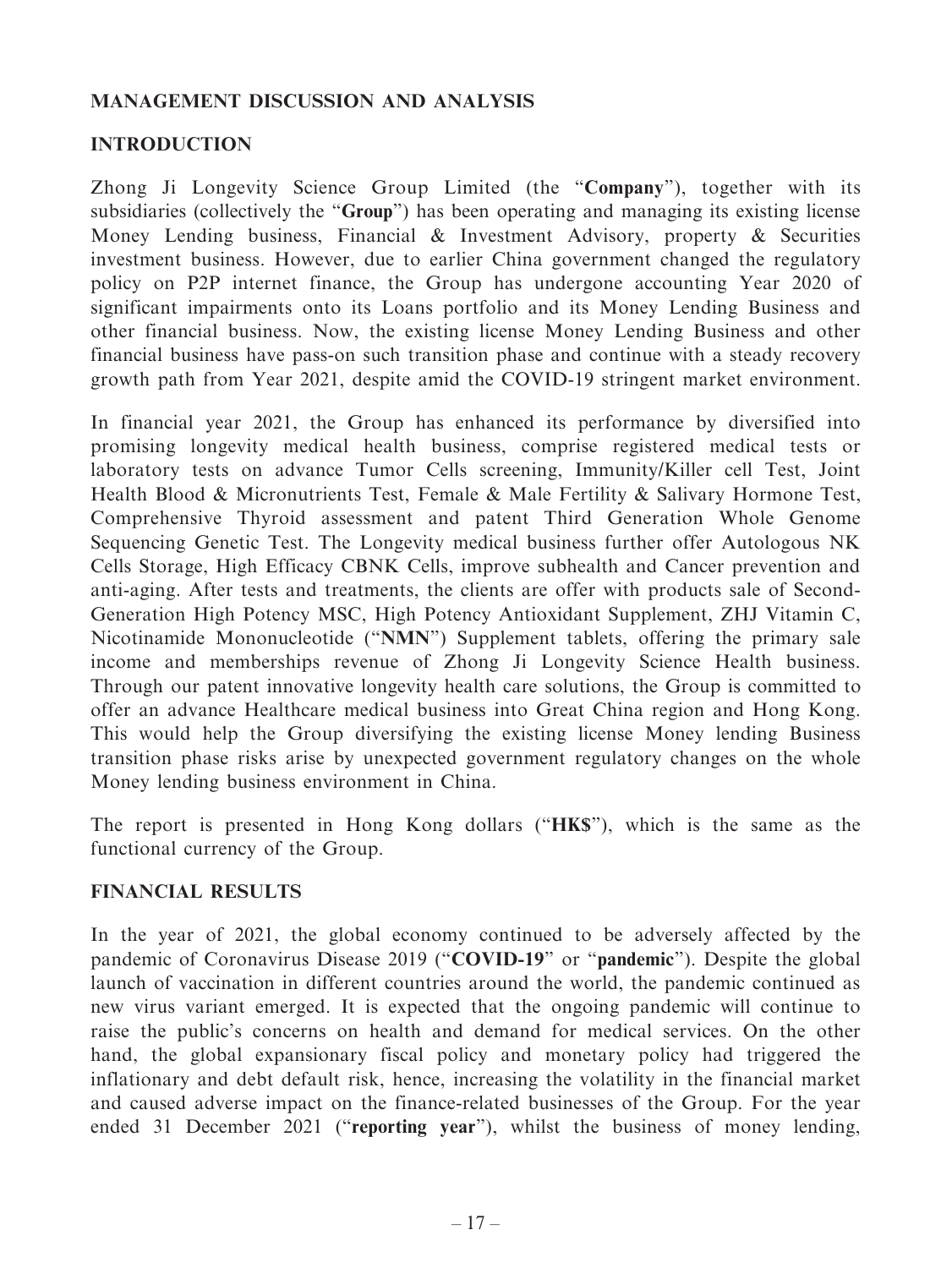# **MANAGEMENT DISCUSSION AND ANALYSIS**

# **INTRODUCTION**

Zhong Ji Longevity Science Group Limited (the "**Company**"), together with its subsidiaries (collectively the "**Group**") has been operating and managing its existing license Money Lending business, Financial & Investment Advisory, property & Securities investment business. However, due to earlier China government changed the regulatory policy on P2P internet finance, the Group has undergone accounting Year 2020 of significant impairments onto its Loans portfolio and its Money Lending Business and other financial business. Now, the existing license Money Lending Business and other financial business have pass-on such transition phase and continue with a steady recovery growth path from Year 2021, despite amid the COVID-19 stringent market environment.

In financial year 2021, the Group has enhanced its performance by diversified into promising longevity medical health business, comprise registered medical tests or laboratory tests on advance Tumor Cells screening, Immunity/Killer cell Test, Joint Health Blood & Micronutrients Test, Female & Male Fertility & Salivary Hormone Test, Comprehensive Thyroid assessment and patent Third Generation Whole Genome Sequencing Genetic Test. The Longevity medical business further offer Autologous NK Cells Storage, High Efficacy CBNK Cells, improve subhealth and Cancer prevention and anti-aging. After tests and treatments, the clients are offer with products sale of Second-Generation High Potency MSC, High Potency Antioxidant Supplement, ZHJ Vitamin C, Nicotinamide Mononucleotide ("**NMN**") Supplement tablets, offering the primary sale income and memberships revenue of Zhong Ji Longevity Science Health business. Through our patent innovative longevity health care solutions, the Group is committed to offer an advance Healthcare medical business into Great China region and Hong Kong. This would help the Group diversifying the existing license Money lending Business transition phase risks arise by unexpected government regulatory changes on the whole Money lending business environment in China.

The report is presented in Hong Kong dollars ("**HK\$**"), which is the same as the functional currency of the Group.

# **FINANCIAL RESULTS**

In the year of 2021, the global economy continued to be adversely affected by the pandemic of Coronavirus Disease 2019 ("**COVID-19**" or "**pandemic**"). Despite the global launch of vaccination in different countries around the world, the pandemic continued as new virus variant emerged. It is expected that the ongoing pandemic will continue to raise the public's concerns on health and demand for medical services. On the other hand, the global expansionary fiscal policy and monetary policy had triggered the inflationary and debt default risk, hence, increasing the volatility in the financial market and caused adverse impact on the finance-related businesses of the Group. For the year ended 31 December 2021 ("**reporting year**"), whilst the business of money lending,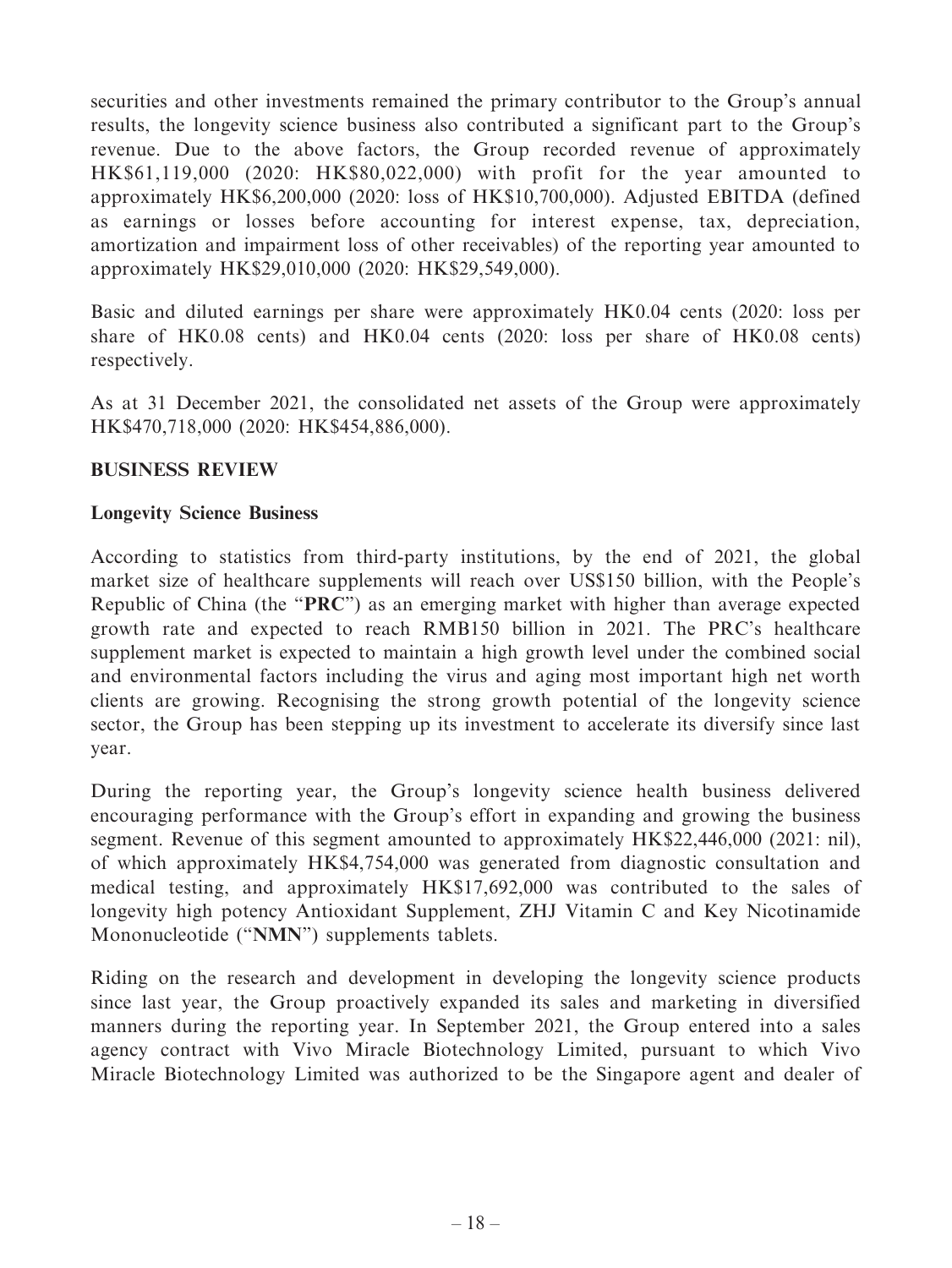securities and other investments remained the primary contributor to the Group's annual results, the longevity science business also contributed a significant part to the Group's revenue. Due to the above factors, the Group recorded revenue of approximately HK\$61,119,000 (2020: HK\$80,022,000) with profit for the year amounted to approximately HK\$6,200,000 (2020: loss of HK\$10,700,000). Adjusted EBITDA (defined as earnings or losses before accounting for interest expense, tax, depreciation, amortization and impairment loss of other receivables) of the reporting year amounted to approximately HK\$29,010,000 (2020: HK\$29,549,000).

Basic and diluted earnings per share were approximately HK0.04 cents (2020: loss per share of HK0.08 cents) and HK0.04 cents (2020: loss per share of HK0.08 cents) respectively.

As at 31 December 2021, the consolidated net assets of the Group were approximately HK\$470,718,000 (2020: HK\$454,886,000).

# **BUSINESS REVIEW**

# **Longevity Science Business**

According to statistics from third-party institutions, by the end of 2021, the global market size of healthcare supplements will reach over US\$150 billion, with the People's Republic of China (the "**PRC**") as an emerging market with higher than average expected growth rate and expected to reach RMB150 billion in 2021. The PRC's healthcare supplement market is expected to maintain a high growth level under the combined social and environmental factors including the virus and aging most important high net worth clients are growing. Recognising the strong growth potential of the longevity science sector, the Group has been stepping up its investment to accelerate its diversify since last year.

During the reporting year, the Group's longevity science health business delivered encouraging performance with the Group's effort in expanding and growing the business segment. Revenue of this segment amounted to approximately HK\$22,446,000 (2021: nil), of which approximately HK\$4,754,000 was generated from diagnostic consultation and medical testing, and approximately HK\$17,692,000 was contributed to the sales of longevity high potency Antioxidant Supplement, ZHJ Vitamin C and Key Nicotinamide Mononucleotide ("**NMN**") supplements tablets.

Riding on the research and development in developing the longevity science products since last year, the Group proactively expanded its sales and marketing in diversified manners during the reporting year. In September 2021, the Group entered into a sales agency contract with Vivo Miracle Biotechnology Limited, pursuant to which Vivo Miracle Biotechnology Limited was authorized to be the Singapore agent and dealer of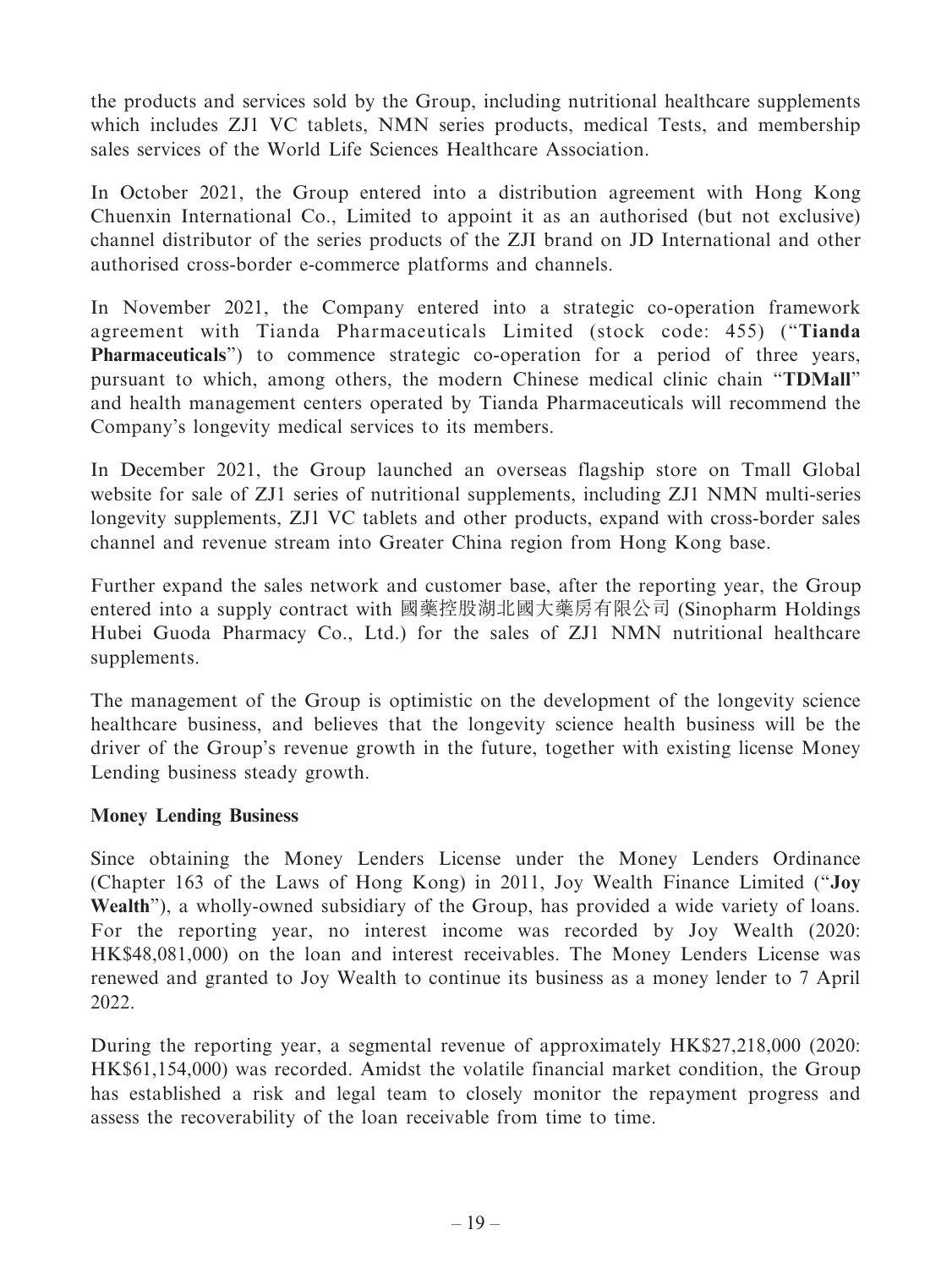the products and services sold by the Group, including nutritional healthcare supplements which includes ZJ1 VC tablets, NMN series products, medical Tests, and membership sales services of the World Life Sciences Healthcare Association.

In October 2021, the Group entered into a distribution agreement with Hong Kong Chuenxin International Co., Limited to appoint it as an authorised (but not exclusive) channel distributor of the series products of the ZJI brand on JD International and other authorised cross-border e-commerce platforms and channels.

In November 2021, the Company entered into a strategic co-operation framework agreement with Tianda Pharmaceuticals Limited (stock code: 455) ("**Tianda Pharmaceuticals**") to commence strategic co-operation for a period of three years, pursuant to which, among others, the modern Chinese medical clinic chain "**TDMall**" and health management centers operated by Tianda Pharmaceuticals will recommend the Company's longevity medical services to its members.

In December 2021, the Group launched an overseas flagship store on Tmall Global website for sale of ZJ1 series of nutritional supplements, including ZJ1 NMN multi-series longevity supplements, ZJ1 VC tablets and other products, expand with cross-border sales channel and revenue stream into Greater China region from Hong Kong base.

Further expand the sales network and customer base, after the reporting year, the Group entered into a supply contract with 國藥控股湖北國大藥房有限公司 (Sinopharm Holdings Hubei Guoda Pharmacy Co., Ltd.) for the sales of ZJ1 NMN nutritional healthcare supplements.

The management of the Group is optimistic on the development of the longevity science healthcare business, and believes that the longevity science health business will be the driver of the Group's revenue growth in the future, together with existing license Money Lending business steady growth.

# **Money Lending Business**

Since obtaining the Money Lenders License under the Money Lenders Ordinance (Chapter 163 of the Laws of Hong Kong) in 2011, Joy Wealth Finance Limited ("**Joy Wealth**"), a wholly-owned subsidiary of the Group, has provided a wide variety of loans. For the reporting year, no interest income was recorded by Joy Wealth (2020: HK\$48,081,000) on the loan and interest receivables. The Money Lenders License was renewed and granted to Joy Wealth to continue its business as a money lender to 7 April 2022.

During the reporting year, a segmental revenue of approximately HK\$27,218,000 (2020: HK\$61,154,000) was recorded. Amidst the volatile financial market condition, the Group has established a risk and legal team to closely monitor the repayment progress and assess the recoverability of the loan receivable from time to time.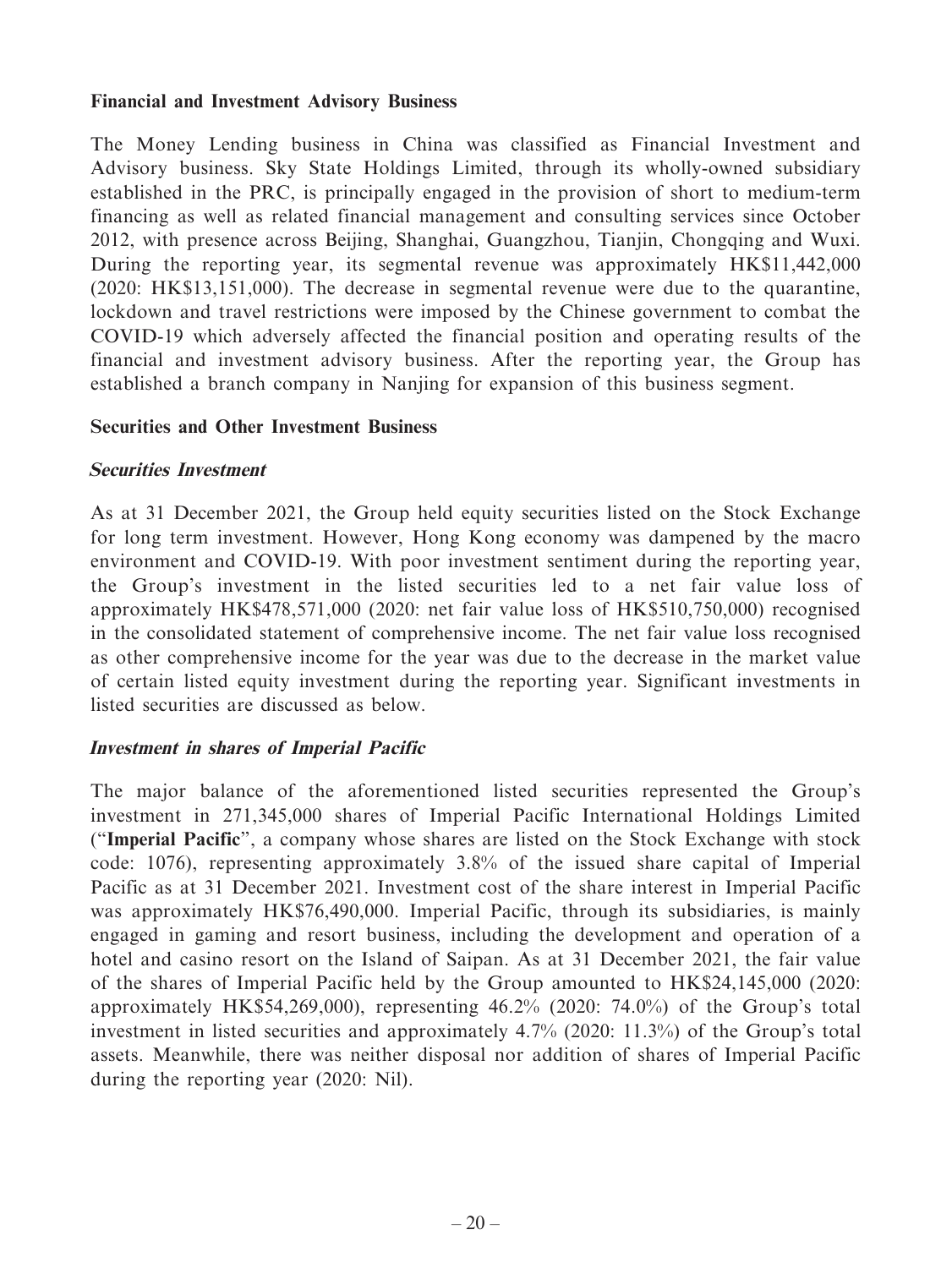### **Financial and Investment Advisory Business**

The Money Lending business in China was classified as Financial Investment and Advisory business. Sky State Holdings Limited, through its wholly-owned subsidiary established in the PRC, is principally engaged in the provision of short to medium-term financing as well as related financial management and consulting services since October 2012, with presence across Beijing, Shanghai, Guangzhou, Tianjin, Chongqing and Wuxi. During the reporting year, its segmental revenue was approximately HK\$11,442,000 (2020: HK\$13,151,000). The decrease in segmental revenue were due to the quarantine, lockdown and travel restrictions were imposed by the Chinese government to combat the COVID-19 which adversely affected the financial position and operating results of the financial and investment advisory business. After the reporting year, the Group has established a branch company in Nanjing for expansion of this business segment.

### **Securities and Other Investment Business**

### **Securities Investment**

As at 31 December 2021, the Group held equity securities listed on the Stock Exchange for long term investment. However, Hong Kong economy was dampened by the macro environment and COVID-19. With poor investment sentiment during the reporting year, the Group's investment in the listed securities led to a net fair value loss of approximately HK\$478,571,000 (2020: net fair value loss of HK\$510,750,000) recognised in the consolidated statement of comprehensive income. The net fair value loss recognised as other comprehensive income for the year was due to the decrease in the market value of certain listed equity investment during the reporting year. Significant investments in listed securities are discussed as below.

### **Investment in shares of Imperial Pacific**

The major balance of the aforementioned listed securities represented the Group's investment in 271,345,000 shares of Imperial Pacific International Holdings Limited ("**Imperial Pacific**", a company whose shares are listed on the Stock Exchange with stock code: 1076), representing approximately 3.8% of the issued share capital of Imperial Pacific as at 31 December 2021. Investment cost of the share interest in Imperial Pacific was approximately HK\$76,490,000. Imperial Pacific, through its subsidiaries, is mainly engaged in gaming and resort business, including the development and operation of a hotel and casino resort on the Island of Saipan. As at 31 December 2021, the fair value of the shares of Imperial Pacific held by the Group amounted to HK\$24,145,000 (2020: approximately HK\$54,269,000), representing 46.2% (2020: 74.0%) of the Group's total investment in listed securities and approximately 4.7% (2020: 11.3%) of the Group's total assets. Meanwhile, there was neither disposal nor addition of shares of Imperial Pacific during the reporting year (2020: Nil).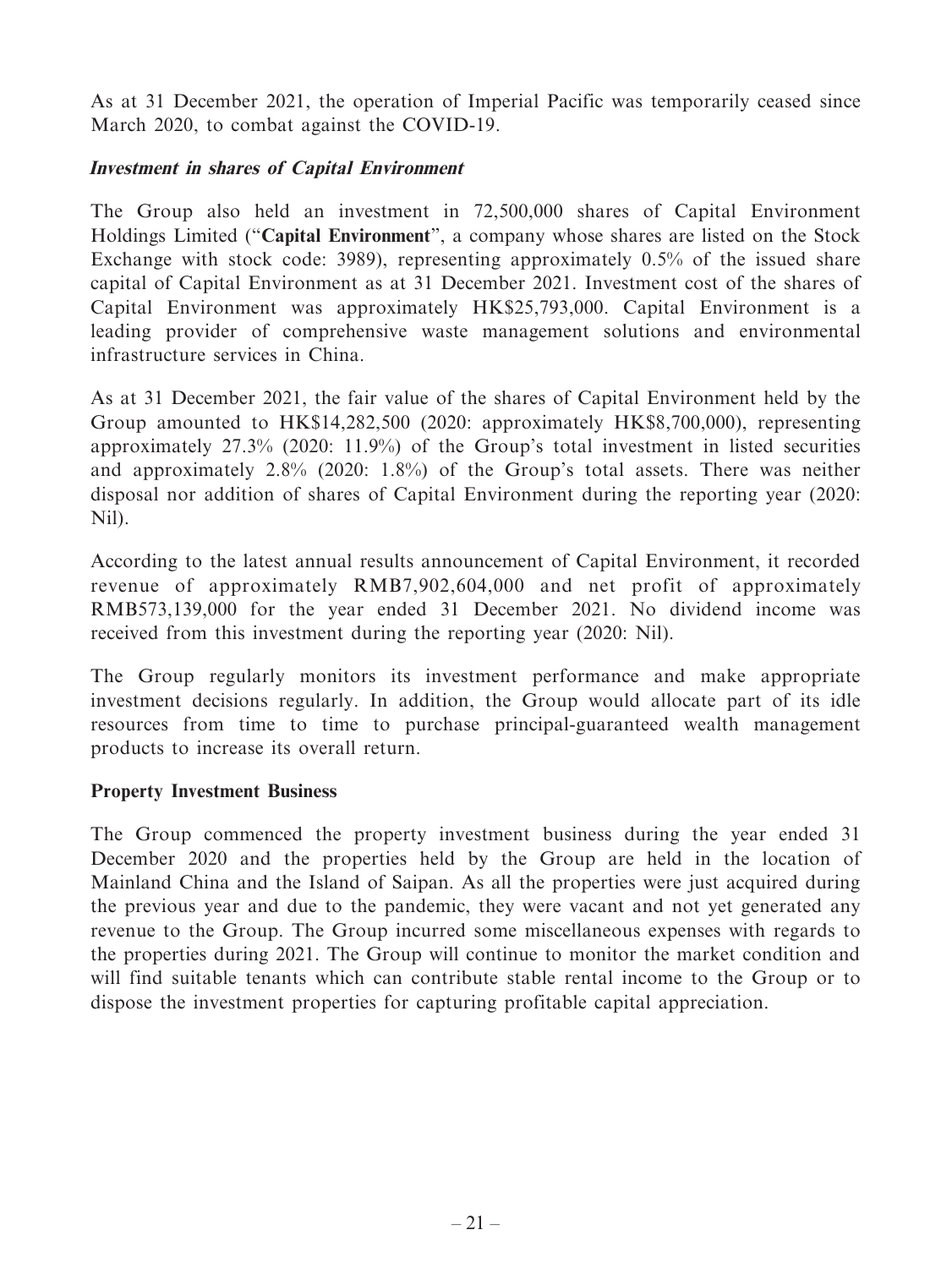As at 31 December 2021, the operation of Imperial Pacific was temporarily ceased since March 2020, to combat against the COVID-19.

# **Investment in shares of Capital Environment**

The Group also held an investment in 72,500,000 shares of Capital Environment Holdings Limited ("**Capital Environment**", a company whose shares are listed on the Stock Exchange with stock code: 3989), representing approximately 0.5% of the issued share capital of Capital Environment as at 31 December 2021. Investment cost of the shares of Capital Environment was approximately HK\$25,793,000. Capital Environment is a leading provider of comprehensive waste management solutions and environmental infrastructure services in China.

As at 31 December 2021, the fair value of the shares of Capital Environment held by the Group amounted to HK\$14,282,500 (2020: approximately HK\$8,700,000), representing approximately 27.3% (2020: 11.9%) of the Group's total investment in listed securities and approximately 2.8% (2020: 1.8%) of the Group's total assets. There was neither disposal nor addition of shares of Capital Environment during the reporting year (2020: Nil).

According to the latest annual results announcement of Capital Environment, it recorded revenue of approximately RMB7,902,604,000 and net profit of approximately RMB573,139,000 for the year ended 31 December 2021. No dividend income was received from this investment during the reporting year (2020: Nil).

The Group regularly monitors its investment performance and make appropriate investment decisions regularly. In addition, the Group would allocate part of its idle resources from time to time to purchase principal-guaranteed wealth management products to increase its overall return.

# **Property Investment Business**

The Group commenced the property investment business during the year ended 31 December 2020 and the properties held by the Group are held in the location of Mainland China and the Island of Saipan. As all the properties were just acquired during the previous year and due to the pandemic, they were vacant and not yet generated any revenue to the Group. The Group incurred some miscellaneous expenses with regards to the properties during 2021. The Group will continue to monitor the market condition and will find suitable tenants which can contribute stable rental income to the Group or to dispose the investment properties for capturing profitable capital appreciation.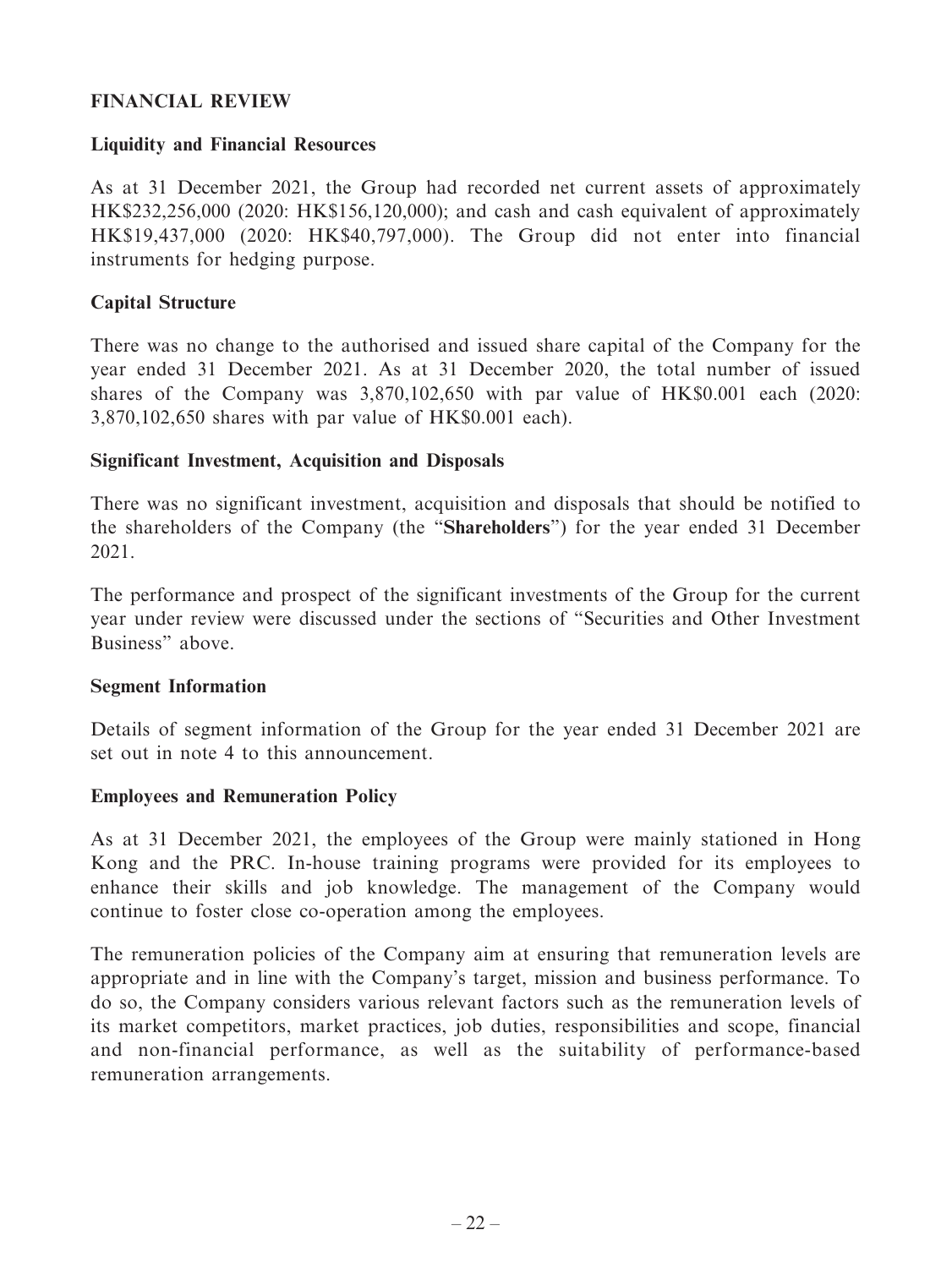# **FINANCIAL REVIEW**

### **Liquidity and Financial Resources**

As at 31 December 2021, the Group had recorded net current assets of approximately HK\$232,256,000 (2020: HK\$156,120,000); and cash and cash equivalent of approximately HK\$19,437,000 (2020: HK\$40,797,000). The Group did not enter into financial instruments for hedging purpose.

# **Capital Structure**

There was no change to the authorised and issued share capital of the Company for the year ended 31 December 2021. As at 31 December 2020, the total number of issued shares of the Company was 3,870,102,650 with par value of HK\$0.001 each (2020: 3,870,102,650 shares with par value of HK\$0.001 each).

### **Significant Investment, Acquisition and Disposals**

There was no significant investment, acquisition and disposals that should be notified to the shareholders of the Company (the "**Shareholders**") for the year ended 31 December 2021.

The performance and prospect of the significant investments of the Group for the current year under review were discussed under the sections of "Securities and Other Investment Business" above.

### **Segment Information**

Details of segment information of the Group for the year ended 31 December 2021 are set out in note 4 to this announcement.

### **Employees and Remuneration Policy**

As at 31 December 2021, the employees of the Group were mainly stationed in Hong Kong and the PRC. In-house training programs were provided for its employees to enhance their skills and job knowledge. The management of the Company would continue to foster close co-operation among the employees.

The remuneration policies of the Company aim at ensuring that remuneration levels are appropriate and in line with the Company's target, mission and business performance. To do so, the Company considers various relevant factors such as the remuneration levels of its market competitors, market practices, job duties, responsibilities and scope, financial and non-financial performance, as well as the suitability of performance-based remuneration arrangements.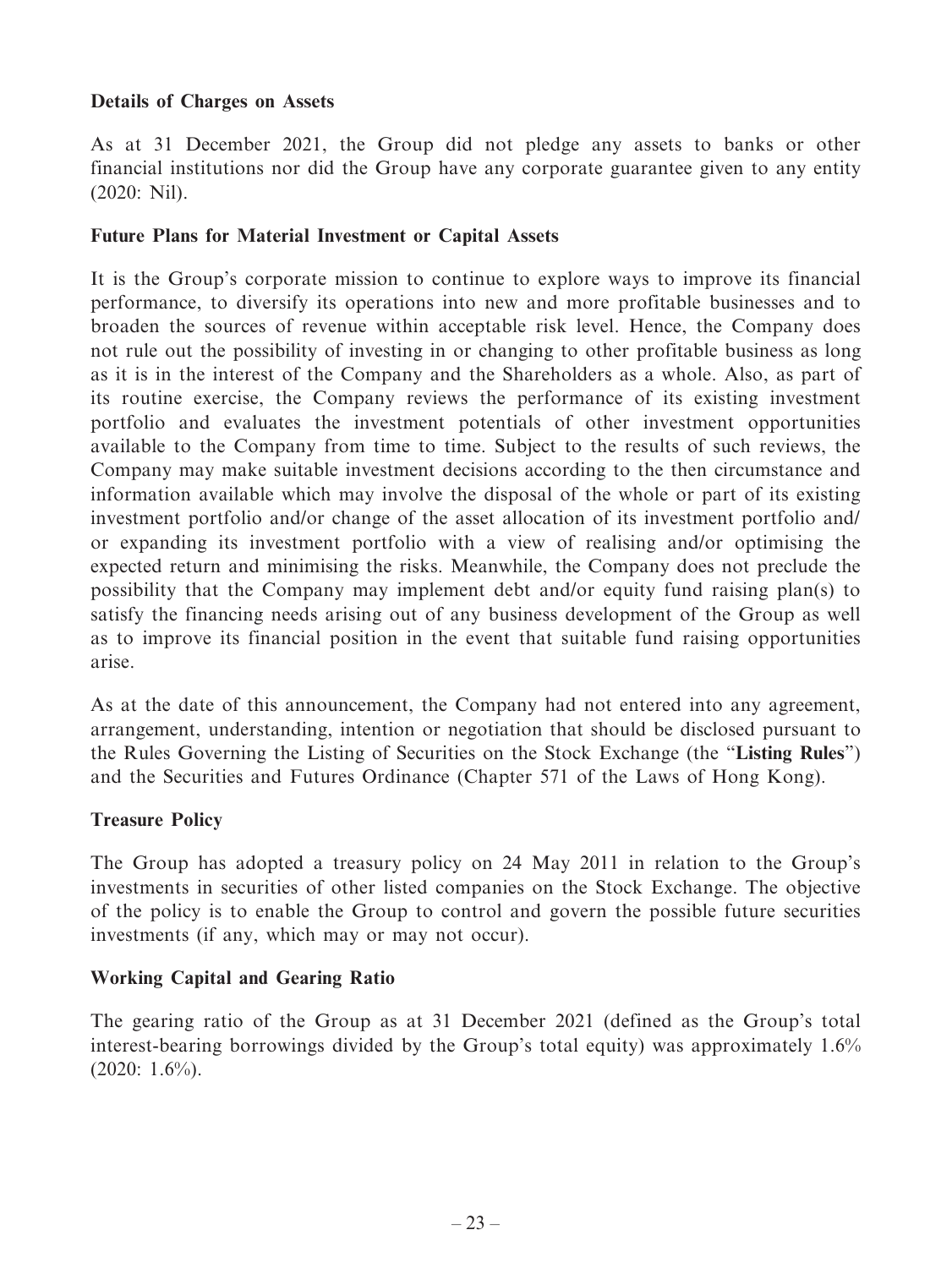# **Details of Charges on Assets**

As at 31 December 2021, the Group did not pledge any assets to banks or other financial institutions nor did the Group have any corporate guarantee given to any entity (2020: Nil).

# **Future Plans for Material Investment or Capital Assets**

It is the Group's corporate mission to continue to explore ways to improve its financial performance, to diversify its operations into new and more profitable businesses and to broaden the sources of revenue within acceptable risk level. Hence, the Company does not rule out the possibility of investing in or changing to other profitable business as long as it is in the interest of the Company and the Shareholders as a whole. Also, as part of its routine exercise, the Company reviews the performance of its existing investment portfolio and evaluates the investment potentials of other investment opportunities available to the Company from time to time. Subject to the results of such reviews, the Company may make suitable investment decisions according to the then circumstance and information available which may involve the disposal of the whole or part of its existing investment portfolio and/or change of the asset allocation of its investment portfolio and/ or expanding its investment portfolio with a view of realising and/or optimising the expected return and minimising the risks. Meanwhile, the Company does not preclude the possibility that the Company may implement debt and/or equity fund raising plan(s) to satisfy the financing needs arising out of any business development of the Group as well as to improve its financial position in the event that suitable fund raising opportunities arise.

As at the date of this announcement, the Company had not entered into any agreement, arrangement, understanding, intention or negotiation that should be disclosed pursuant to the Rules Governing the Listing of Securities on the Stock Exchange (the "**Listing Rules**") and the Securities and Futures Ordinance (Chapter 571 of the Laws of Hong Kong).

### **Treasure Policy**

The Group has adopted a treasury policy on 24 May 2011 in relation to the Group's investments in securities of other listed companies on the Stock Exchange. The objective of the policy is to enable the Group to control and govern the possible future securities investments (if any, which may or may not occur).

# **Working Capital and Gearing Ratio**

The gearing ratio of the Group as at 31 December 2021 (defined as the Group's total interest-bearing borrowings divided by the Group's total equity) was approximately 1.6%  $(2020: 1.6\%)$ .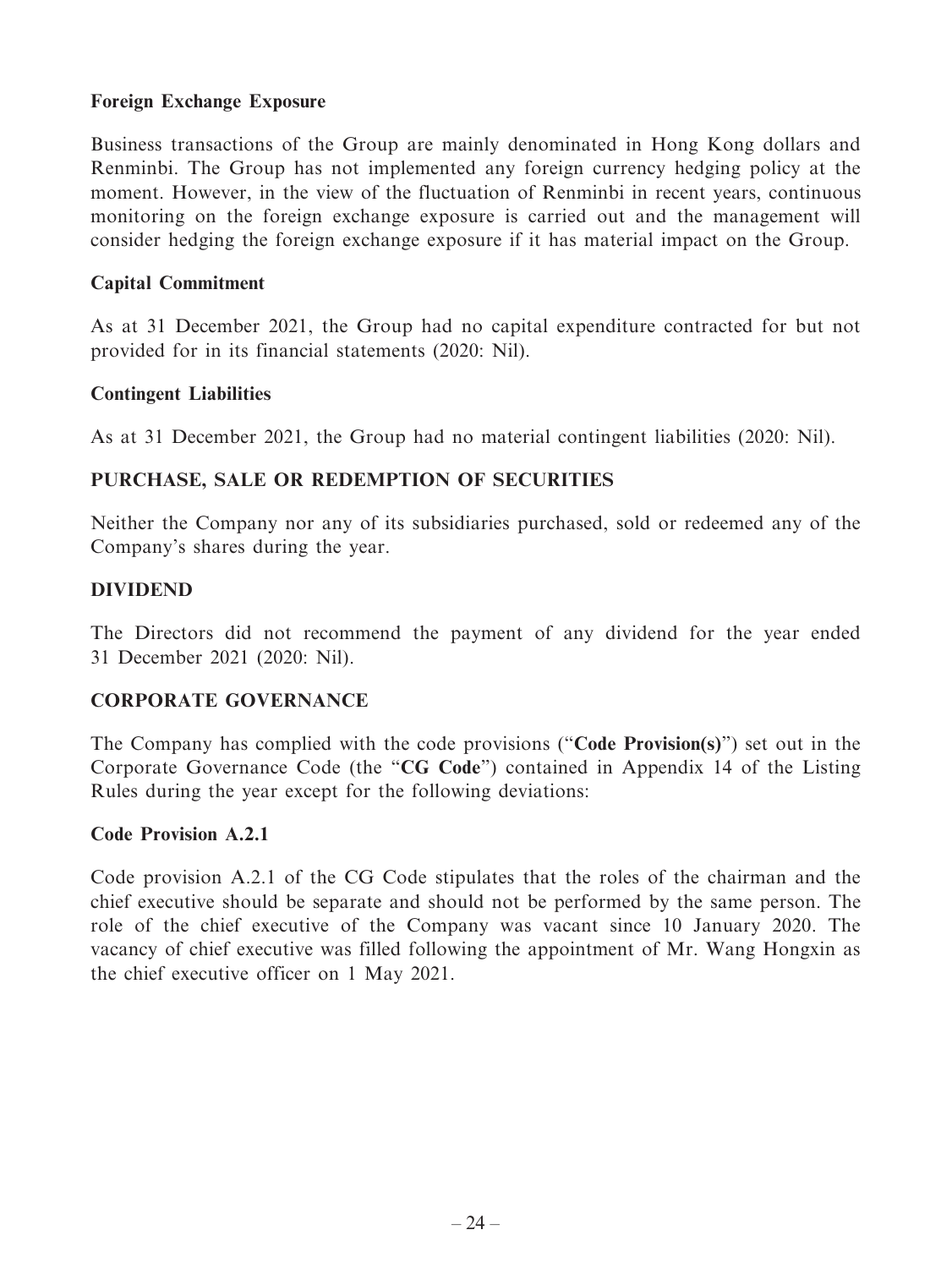# **Foreign Exchange Exposure**

Business transactions of the Group are mainly denominated in Hong Kong dollars and Renminbi. The Group has not implemented any foreign currency hedging policy at the moment. However, in the view of the fluctuation of Renminbi in recent years, continuous monitoring on the foreign exchange exposure is carried out and the management will consider hedging the foreign exchange exposure if it has material impact on the Group.

### **Capital Commitment**

As at 31 December 2021, the Group had no capital expenditure contracted for but not provided for in its financial statements (2020: Nil).

### **Contingent Liabilities**

As at 31 December 2021, the Group had no material contingent liabilities (2020: Nil).

# **PURCHASE, SALE OR REDEMPTION OF SECURITIES**

Neither the Company nor any of its subsidiaries purchased, sold or redeemed any of the Company's shares during the year.

### **DIVIDEND**

The Directors did not recommend the payment of any dividend for the year ended 31 December 2021 (2020: Nil).

### **CORPORATE GOVERNANCE**

The Company has complied with the code provisions ("**Code Provision(s)**") set out in the Corporate Governance Code (the "**CG Code**") contained in Appendix 14 of the Listing Rules during the year except for the following deviations:

### **Code Provision A.2.1**

Code provision A.2.1 of the CG Code stipulates that the roles of the chairman and the chief executive should be separate and should not be performed by the same person. The role of the chief executive of the Company was vacant since 10 January 2020. The vacancy of chief executive was filled following the appointment of Mr. Wang Hongxin as the chief executive officer on 1 May 2021.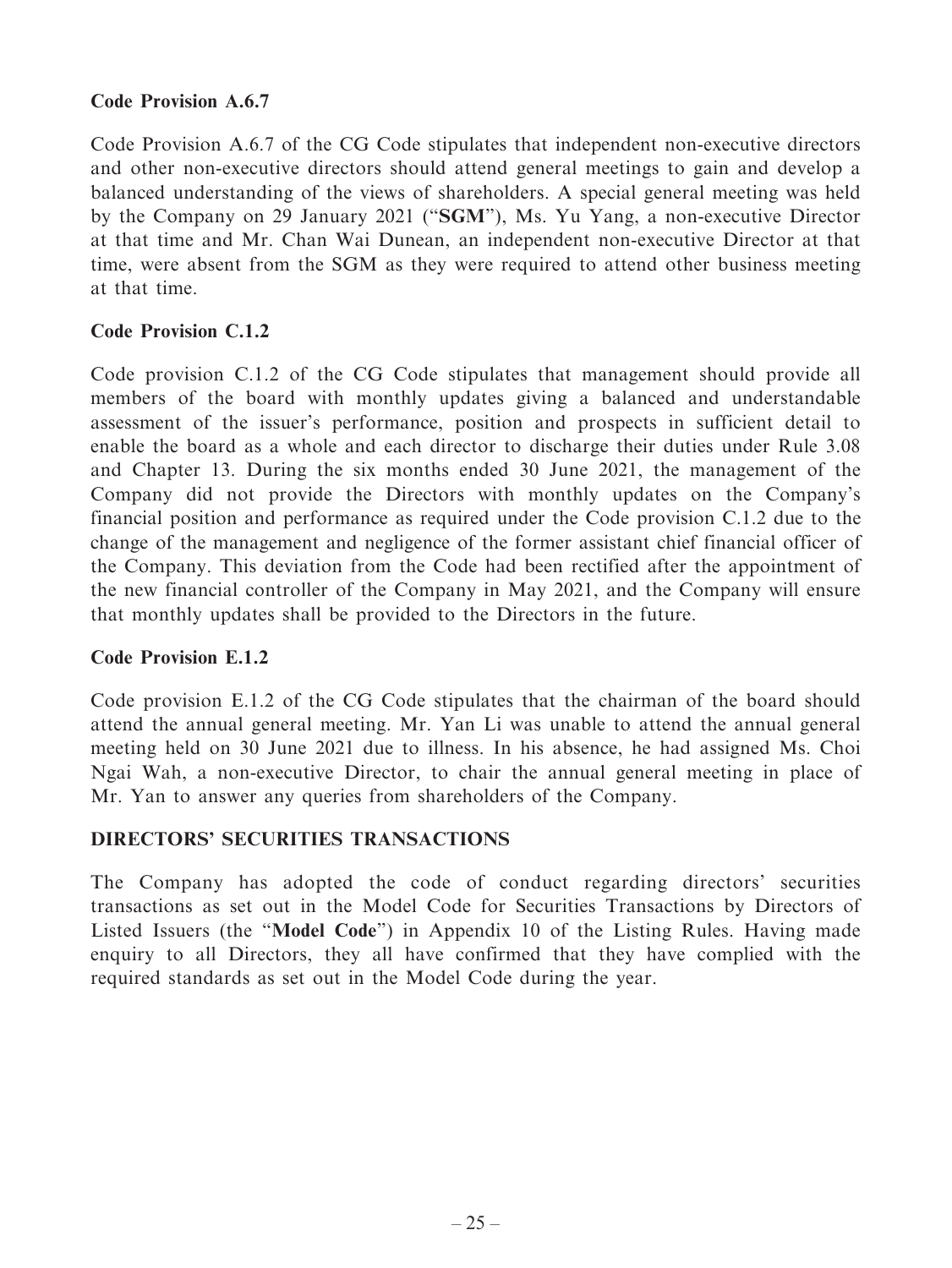# **Code Provision A.6.7**

Code Provision A.6.7 of the CG Code stipulates that independent non-executive directors and other non-executive directors should attend general meetings to gain and develop a balanced understanding of the views of shareholders. A special general meeting was held by the Company on 29 January 2021 ("**SGM**"), Ms. Yu Yang, a non-executive Director at that time and Mr. Chan Wai Dunean, an independent non-executive Director at that time, were absent from the SGM as they were required to attend other business meeting at that time.

# **Code Provision C.1.2**

Code provision C.1.2 of the CG Code stipulates that management should provide all members of the board with monthly updates giving a balanced and understandable assessment of the issuer's performance, position and prospects in sufficient detail to enable the board as a whole and each director to discharge their duties under Rule 3.08 and Chapter 13. During the six months ended 30 June 2021, the management of the Company did not provide the Directors with monthly updates on the Company's financial position and performance as required under the Code provision C.1.2 due to the change of the management and negligence of the former assistant chief financial officer of the Company. This deviation from the Code had been rectified after the appointment of the new financial controller of the Company in May 2021, and the Company will ensure that monthly updates shall be provided to the Directors in the future.

# **Code Provision E.1.2**

Code provision E.1.2 of the CG Code stipulates that the chairman of the board should attend the annual general meeting. Mr. Yan Li was unable to attend the annual general meeting held on 30 June 2021 due to illness. In his absence, he had assigned Ms. Choi Ngai Wah, a non-executive Director, to chair the annual general meeting in place of Mr. Yan to answer any queries from shareholders of the Company.

# **DIRECTORS' SECURITIES TRANSACTIONS**

The Company has adopted the code of conduct regarding directors' securities transactions as set out in the Model Code for Securities Transactions by Directors of Listed Issuers (the "**Model Code**") in Appendix 10 of the Listing Rules. Having made enquiry to all Directors, they all have confirmed that they have complied with the required standards as set out in the Model Code during the year.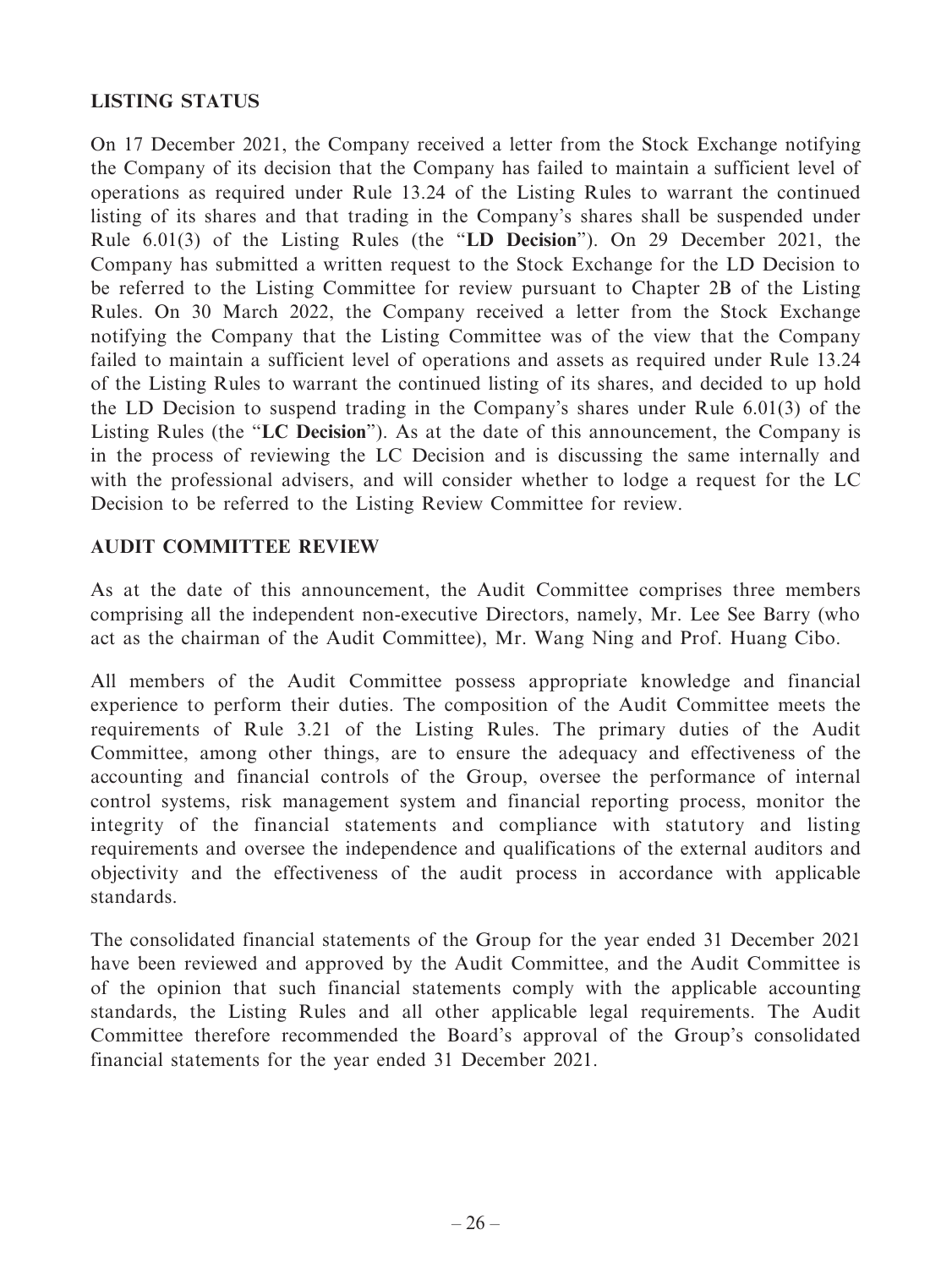# **LISTING STATUS**

On 17 December 2021, the Company received a letter from the Stock Exchange notifying the Company of its decision that the Company has failed to maintain a sufficient level of operations as required under Rule 13.24 of the Listing Rules to warrant the continued listing of its shares and that trading in the Company's shares shall be suspended under Rule 6.01(3) of the Listing Rules (the "**LD Decision**"). On 29 December 2021, the Company has submitted a written request to the Stock Exchange for the LD Decision to be referred to the Listing Committee for review pursuant to Chapter 2B of the Listing Rules. On 30 March 2022, the Company received a letter from the Stock Exchange notifying the Company that the Listing Committee was of the view that the Company failed to maintain a sufficient level of operations and assets as required under Rule 13.24 of the Listing Rules to warrant the continued listing of its shares, and decided to up hold the LD Decision to suspend trading in the Company's shares under Rule 6.01(3) of the Listing Rules (the "**LC Decision**"). As at the date of this announcement, the Company is in the process of reviewing the LC Decision and is discussing the same internally and with the professional advisers, and will consider whether to lodge a request for the LC Decision to be referred to the Listing Review Committee for review.

# **AUDIT COMMITTEE REVIEW**

As at the date of this announcement, the Audit Committee comprises three members comprising all the independent non-executive Directors, namely, Mr. Lee See Barry (who act as the chairman of the Audit Committee), Mr. Wang Ning and Prof. Huang Cibo.

All members of the Audit Committee possess appropriate knowledge and financial experience to perform their duties. The composition of the Audit Committee meets the requirements of Rule 3.21 of the Listing Rules. The primary duties of the Audit Committee, among other things, are to ensure the adequacy and effectiveness of the accounting and financial controls of the Group, oversee the performance of internal control systems, risk management system and financial reporting process, monitor the integrity of the financial statements and compliance with statutory and listing requirements and oversee the independence and qualifications of the external auditors and objectivity and the effectiveness of the audit process in accordance with applicable standards.

The consolidated financial statements of the Group for the year ended 31 December 2021 have been reviewed and approved by the Audit Committee, and the Audit Committee is of the opinion that such financial statements comply with the applicable accounting standards, the Listing Rules and all other applicable legal requirements. The Audit Committee therefore recommended the Board's approval of the Group's consolidated financial statements for the year ended 31 December 2021.